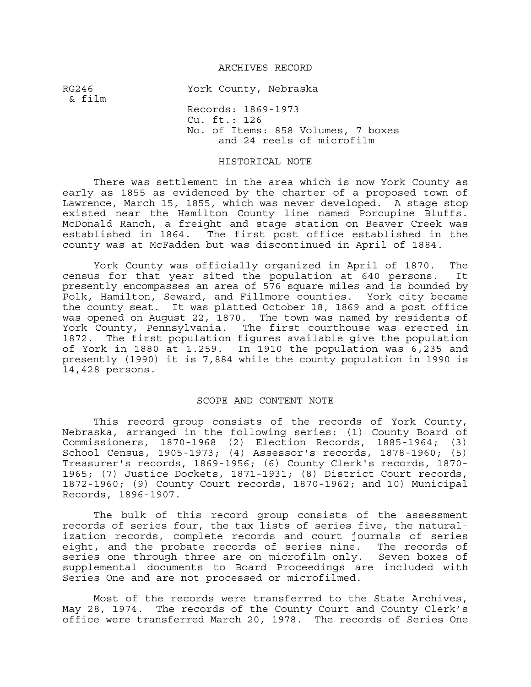#### ARCHIVES RECORD

RG246 York County, Nebraska & film Records: 1869-1973 Cu. ft.: 126 No. of Items: 858 Volumes, 7 boxes and 24 reels of microfilm

#### HISTORICAL NOTE

There was settlement in the area which is now York County as early as 1855 as evidenced by the charter of a proposed town of Lawrence, March 15, 1855, which was never developed. A stage stop existed near the Hamilton County line named Porcupine Bluffs. McDonald Ranch, a freight and stage station on Beaver Creek was<br>established in 1864. The first post office established in the The first post office established in the county was at McFadden but was discontinued in April of 1884.

York County was officially organized in April of 1870. The census for that year sited the population at 640 persons. It presently encompasses an area of 576 square miles and is bounded by Polk, Hamilton, Seward, and Fillmore counties. York city became the county seat. It was platted October 18, 1869 and a post office was opened on August 22, 1870. The town was named by residents of York County, Pennsylvania. The first courthouse was erected in 1872. The first population figures available give the population of York in 1880 at 1.259. In 1910 the population was 6,235 and presently (1990) it is 7,884 while the county population in 1990 is 14,428 persons.

#### SCOPE AND CONTENT NOTE

 This record group consists of the records of York County, Nebraska, arranged in the following series: (1) County Board of Commissioners, 1870-1968 (2) Election Records, 1885-1964; (3) School Census, 1905-1973; (4) Assessor's records, 1878-1960; (5) Treasurer's records, 1869-1956; (6) County Clerk's records, 1870- 1965; (7) Justice Dockets, 1871-1931; (8) District Court records, 1872-1960; (9) County Court records, 1870-1962; and 10) Municipal Records, 1896-1907.

 The bulk of this record group consists of the assessment records of series four, the tax lists of series five, the naturalization records, complete records and court journals of series eight, and the probate records of series nine. The records of series one through three are on microfilm only. Seven boxes of supplemental documents to Board Proceedings are included with Series One and are not processed or microfilmed.

Most of the records were transferred to the State Archives, May 28, 1974. The records of the County Court and County Clerk's office were transferred March 20, 1978. The records of Series One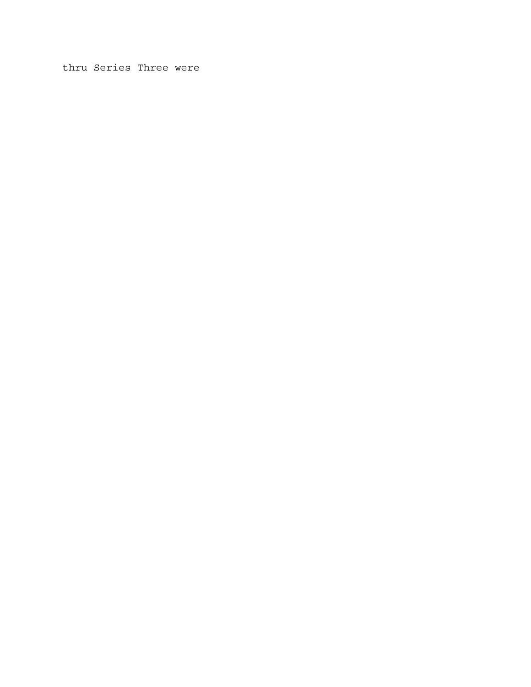thru Series Three were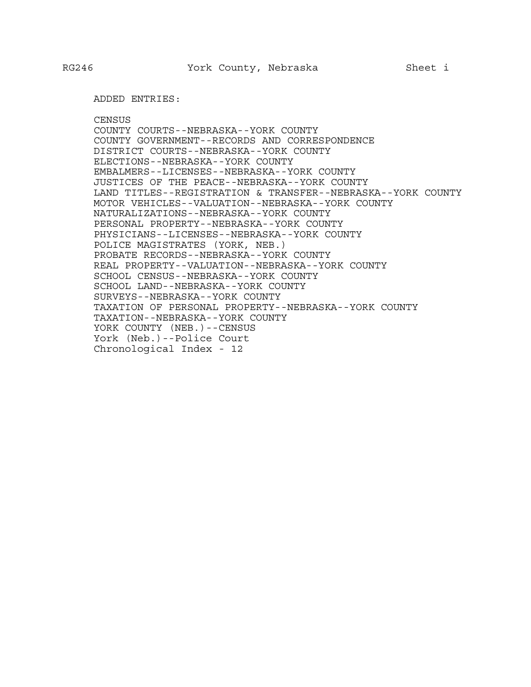ADDED ENTRIES:

**CENSUS** COUNTY COURTS--NEBRASKA--YORK COUNTY COUNTY GOVERNMENT--RECORDS AND CORRESPONDENCE DISTRICT COURTS--NEBRASKA--YORK COUNTY ELECTIONS--NEBRASKA--YORK COUNTY EMBALMERS--LICENSES--NEBRASKA--YORK COUNTY JUSTICES OF THE PEACE--NEBRASKA--YORK COUNTY LAND TITLES--REGISTRATION & TRANSFER--NEBRASKA--YORK COUNTY MOTOR VEHICLES--VALUATION--NEBRASKA--YORK COUNTY NATURALIZATIONS--NEBRASKA--YORK COUNTY PERSONAL PROPERTY--NEBRASKA--YORK COUNTY PHYSICIANS--LICENSES--NEBRASKA--YORK COUNTY POLICE MAGISTRATES (YORK, NEB.) PROBATE RECORDS--NEBRASKA--YORK COUNTY REAL PROPERTY--VALUATION--NEBRASKA--YORK COUNTY SCHOOL CENSUS--NEBRASKA--YORK COUNTY SCHOOL LAND--NEBRASKA--YORK COUNTY SURVEYS--NEBRASKA--YORK COUNTY TAXATION OF PERSONAL PROPERTY--NEBRASKA--YORK COUNTY TAXATION--NEBRASKA--YORK COUNTY YORK COUNTY (NEB.) --CENSUS York (Neb.)--Police Court Chronological Index - 12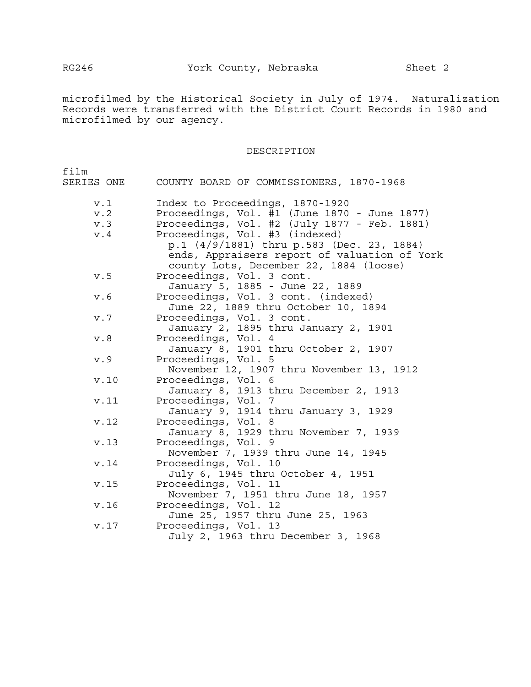microfilmed by the Historical Society in July of 1974. Naturalization Records were transferred with the District Court Records in 1980 and microfilmed by our agency.

#### DESCRIPTION

| film       |                                                                                                                                     |
|------------|-------------------------------------------------------------------------------------------------------------------------------------|
| SERIES ONE | COUNTY BOARD OF COMMISSIONERS, 1870-1968                                                                                            |
| v.1        | Index to Proceedings, 1870-1920                                                                                                     |
| v.2        | Proceedings, Vol. #1 (June 1870 - June 1877)                                                                                        |
| v.3        | Proceedings, Vol. #2 (July 1877 - Feb. 1881)                                                                                        |
| v.4        | Proceedings, Vol. #3 (indexed)                                                                                                      |
|            | p.1 (4/9/1881) thru p.583 (Dec. 23, 1884)<br>ends, Appraisers report of valuation of York<br>county Lots, December 22, 1884 (loose) |
| v.5        | Proceedings, Vol. 3 cont.<br>January 5, 1885 - June 22, 1889                                                                        |
| v.6        | Proceedings, Vol. 3 cont. (indexed)                                                                                                 |
|            | June 22, 1889 thru October 10, 1894                                                                                                 |
| v.7        | Proceedings, Vol. 3 cont.                                                                                                           |
|            | January 2, 1895 thru January 2, 1901                                                                                                |
| v.8        | Proceedings, Vol. 4                                                                                                                 |
|            | January 8, 1901 thru October 2, 1907                                                                                                |
| v.9        | Proceedings, Vol. 5                                                                                                                 |
|            | November 12, 1907 thru November 13, 1912                                                                                            |
| v.10       | Proceedings, Vol. 6                                                                                                                 |
|            | January 8, 1913 thru December 2, 1913                                                                                               |
| v.11       | Proceedings, Vol.<br>-7                                                                                                             |
|            | January 9, 1914 thru January 3, 1929                                                                                                |
| v.12       | Proceedings, Vol. 8                                                                                                                 |
|            | January 8, 1929 thru November 7, 1939                                                                                               |
| v.13       | Proceedings, Vol. 9                                                                                                                 |
|            | November 7, 1939 thru June 14, 1945                                                                                                 |
| v.14       | Proceedings, Vol. 10                                                                                                                |
|            | July 6, 1945 thru October 4, 1951                                                                                                   |
| v.15       | Proceedings, Vol. 11                                                                                                                |
|            | November 7, 1951 thru June 18, 1957                                                                                                 |
| v.16       | Proceedings, Vol. 12                                                                                                                |
|            | June 25, 1957 thru June 25, 1963                                                                                                    |
| v.17       | Proceedings, Vol. 13                                                                                                                |
|            | July 2, 1963 thru December 3, 1968                                                                                                  |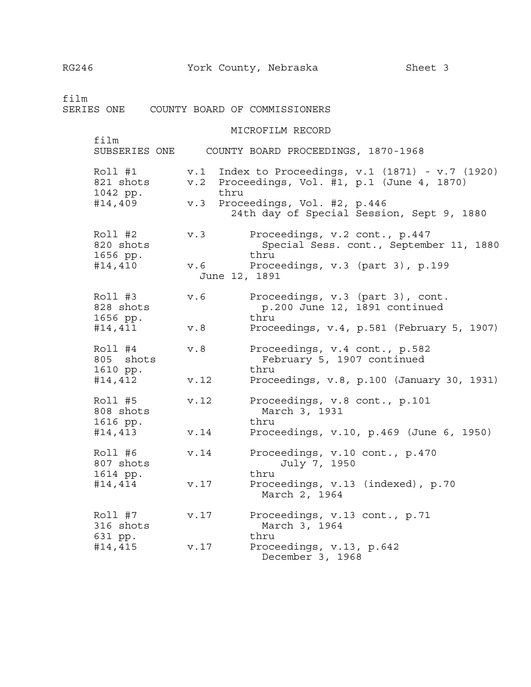film SERIES ONE COUNTY BOARD OF COMMISSIONERS MICROFILM RECORD film SUBSERIES ONE COUNTY BOARD PROCEEDINGS, 1870-1968 Roll #1 v.1 Index to Proceedings, v.1 (1871) - v.7 (1920) 821 shots v.2 Proceedings, Vol. #1, p.1 (June 4, 1870) 1042 pp. thru #14,409 v.3 Proceedings, Vol. #2, p.446 24th day of Special Session, Sept 9, 1880 Roll #2 v.3 Proceedings, v.2 cont., p.447 820 shots Special Sess. cont., September 11, 1880 1656 pp. thru #14,410 v.6 Proceedings, v.3 (part 3), p.199 June 12, 1891

Roll #3 v.6 Proceedings, v.3 (part 3), cont. 828 shots p.200 June 12, 1891 continued 1656 pp. thru #14,411 v.8 Proceedings, v.4, p.581 (February 5, 1907) Roll #4 v.8 Proceedings, v.4 cont., p.582 805 shots February 5, 1907 continued 1610 pp. thru #14,412 v.12 Proceedings, v.8, p.100 (January 30, 1931) Roll #5 v.12 Proceedings, v.8 cont., p.101 808 shots March 3, 1931 1616 pp. thru #14,413 v.14 Proceedings, v.10, p.469 (June 6, 1950) Roll #6 v.14 Proceedings, v.10 cont., p.470<br>807 shots July 7, 1950 July 7, 1950 1614 pp. thru #14,414 v.17 Proceedings, v.13 (indexed), p.70 March 2, 1964 Roll #7 v.17 Proceedings, v.13 cont., p.71 316 shots March 3, 1964 631 pp. thru #14,415 v.17 Proceedings, v.13, p.642 December 3, 1968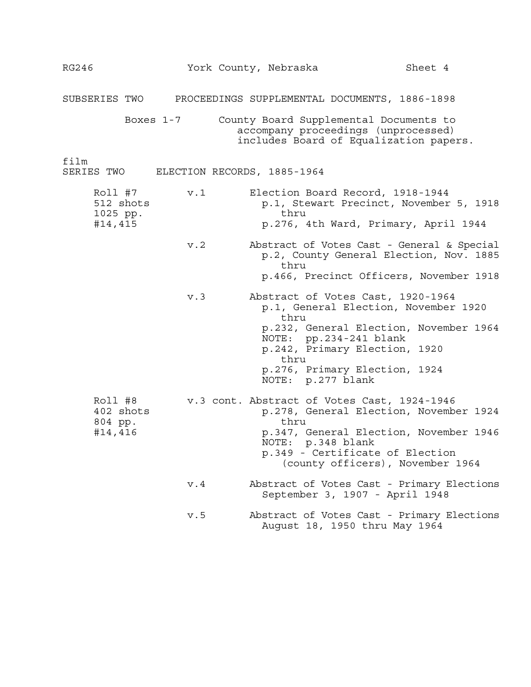| <b>RG246</b>                                |                             | York County, Nebraska<br>Sheet 4                                                                                                                                                                                                                     |  |
|---------------------------------------------|-----------------------------|------------------------------------------------------------------------------------------------------------------------------------------------------------------------------------------------------------------------------------------------------|--|
| SUBSERIES TWO                               |                             | PROCEEDINGS SUPPLEMENTAL DOCUMENTS, 1886-1898                                                                                                                                                                                                        |  |
|                                             | Boxes 1-7                   | County Board Supplemental Documents to<br>accompany proceedings (unprocessed)<br>includes Board of Equalization papers.                                                                                                                              |  |
| film<br>SERIES TWO                          | ELECTION RECORDS, 1885-1964 |                                                                                                                                                                                                                                                      |  |
| Roll #7<br>512 shots<br>1025 pp.<br>#14,415 | v.1                         | Election Board Record, 1918-1944<br>p.1, Stewart Precinct, November 5, 1918<br>thru<br>p.276, 4th Ward, Primary, April 1944                                                                                                                          |  |
|                                             | v.2                         | Abstract of Votes Cast - General & Special<br>p.2, County General Election, Nov. 1885<br>thru<br>p.466, Precinct Officers, November 1918                                                                                                             |  |
|                                             | v.3                         | Abstract of Votes Cast, 1920-1964<br>p.1, General Election, November 1920<br>thru<br>p.232, General Election, November 1964<br>NOTE: pp.234-241 blank<br>p.242, Primary Election, 1920<br>thru<br>p.276, Primary Election, 1924<br>NOTE: p.277 blank |  |
| Roll #8<br>402 shots<br>804 pp.<br>#14,416  |                             | v.3 cont. Abstract of Votes Cast, 1924-1946<br>p.278, General Election, November 1924<br>thru<br>p.347, General Election, November 1946<br>NOTE: p.348 blank<br>p.349 - Certificate of Election<br>(county officers), November 1964                  |  |
|                                             | v.4                         | Abstract of Votes Cast - Primary Elections<br>September 3, 1907 - April 1948                                                                                                                                                                         |  |
|                                             | v.5                         | Abstract of Votes Cast - Primary Elections<br>August 18, 1950 thru May 1964                                                                                                                                                                          |  |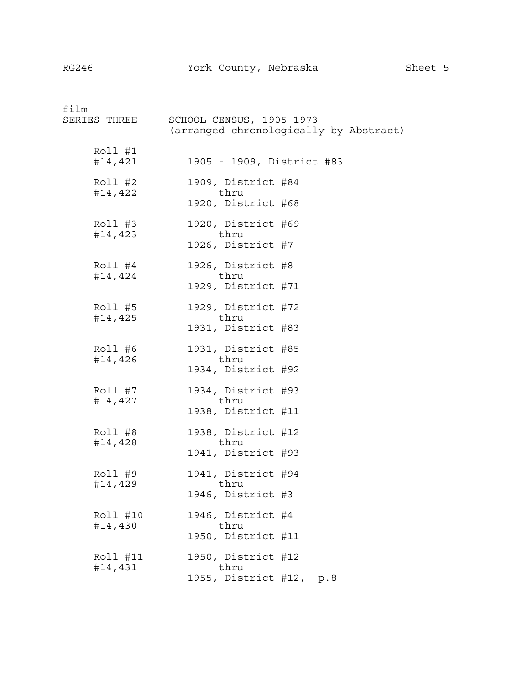| film<br>SERIES THREE | SCHOOL CENSUS, 1905-1973<br>(arranged chronologically by Abstract) |
|----------------------|--------------------------------------------------------------------|
| Roll #1<br>#14,421   | 1905 - 1909, District #83                                          |
| Roll #2<br>#14,422   | 1909, District #84<br>thru                                         |
|                      | 1920, District #68                                                 |
| $Roll$ #3<br>#14,423 | 1920, District #69<br>thru                                         |
|                      | 1926, District #7                                                  |
| Roll #4<br>#14,424   | 1926, District #8<br>thru                                          |
|                      | 1929, District #71                                                 |
| Roll #5<br>#14,425   | 1929, District #72<br>thru                                         |
|                      | 1931, District #83                                                 |
| Roll #6<br>#14,426   | 1931, District #85<br>thru                                         |
|                      | 1934, District #92                                                 |
| Roll #7<br>#14,427   | 1934, District #93<br>thru                                         |
|                      | 1938, District #11                                                 |
| Roll #8              | 1938, District #12<br>thru                                         |
| #14,428              | 1941, District #93                                                 |
| Roll #9              | 1941, District #94                                                 |
| #14,429              | thru<br>1946, District #3                                          |
| Roll #10             | 1946, District #4                                                  |
| #14,430              | thru<br>1950, District #11                                         |
| Roll #11             | 1950, District #12                                                 |
| #14,431              | thru<br>1955, District #12, p.8                                    |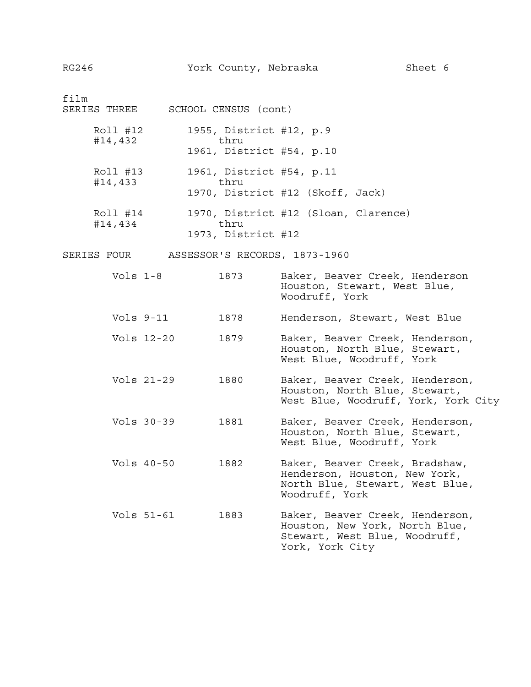film SERIES THREE SCHOOL CENSUS (cont) Roll #12 1955, District #12, p.9 #14,432 thru 1961, District #54, p.10 Roll #13 1961, District #54, p.11 #14,433 thru 1970, District #12 (Skoff, Jack) Roll #14 1970, District #12 (Sloan, Clarence) #14,434 thru 1973, District #12 SERIES FOUR ASSESSOR'S RECORDS, 1873-1960 Vols 1-8 1873 Baker, Beaver Creek, Henderson Houston, Stewart, West Blue, Woodruff, York Vols 9-11 1878 Henderson, Stewart, West Blue Vols 12-20 1879 Baker, Beaver Creek, Henderson, Houston, North Blue, Stewart, West Blue, Woodruff, York Vols 21-29 1880 Baker, Beaver Creek, Henderson, Houston, North Blue, Stewart, West Blue, Woodruff, York, York City Vols 30-39 1881 Baker, Beaver Creek, Henderson, Houston, North Blue, Stewart, West Blue, Woodruff, York Vols 40-50 1882 Baker, Beaver Creek, Bradshaw, Henderson, Houston, New York, North Blue, Stewart, West Blue, Woodruff, York Vols 51-61 1883 Baker, Beaver Creek, Henderson, Houston, New York, North Blue, Stewart, West Blue, Woodruff, York, York City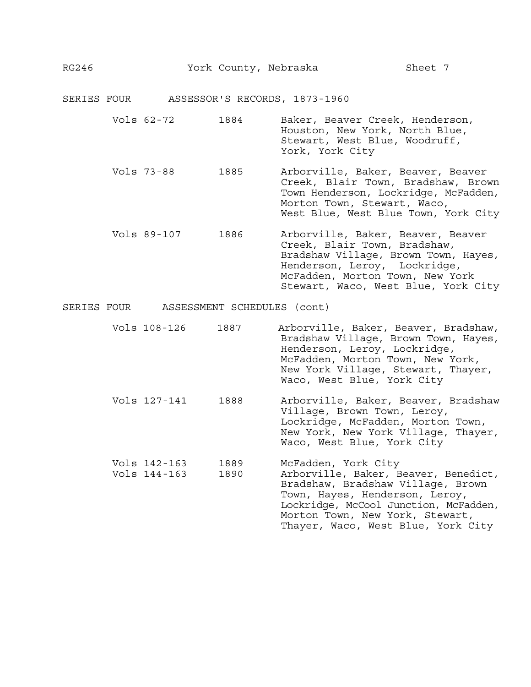| SERIES FOUR |                              |                             | ASSESSOR'S RECORDS, 1873-1960                                                                                                                                                                                                                        |
|-------------|------------------------------|-----------------------------|------------------------------------------------------------------------------------------------------------------------------------------------------------------------------------------------------------------------------------------------------|
|             | Vols 62-72                   | 1884                        | Baker, Beaver Creek, Henderson,<br>Houston, New York, North Blue,<br>Stewart, West Blue, Woodruff,<br>York, York City                                                                                                                                |
|             | Vols 73-88                   | 1885                        | Arborville, Baker, Beaver, Beaver<br>Creek, Blair Town, Bradshaw, Brown<br>Town Henderson, Lockridge, McFadden,<br>Morton Town, Stewart, Waco,<br>West Blue, West Blue Town, York City                                                               |
|             | Vols 89-107                  | 1886                        | Arborville, Baker, Beaver, Beaver<br>Creek, Blair Town, Bradshaw,<br>Bradshaw Village, Brown Town, Hayes,<br>Henderson, Leroy, Lockridge,<br>McFadden, Morton Town, New York<br>Stewart, Waco, West Blue, York City                                  |
| SERIES FOUR |                              | ASSESSMENT SCHEDULES (cont) |                                                                                                                                                                                                                                                      |
|             | Vols 108-126                 | 1887                        | Arborville, Baker, Beaver, Bradshaw,<br>Bradshaw Village, Brown Town, Hayes,<br>Henderson, Leroy, Lockridge,<br>McFadden, Morton Town, New York,<br>New York Village, Stewart, Thayer,<br>Waco, West Blue, York City                                 |
|             | Vols 127-141                 | 1888                        | Arborville, Baker, Beaver, Bradshaw<br>Village, Brown Town, Leroy,<br>Lockridge, McFadden, Morton Town,<br>New York, New York Village, Thayer,<br>Waco, West Blue, York City                                                                         |
|             | Vols 142-163<br>Vols 144-163 | 1889<br>1890                | McFadden, York City<br>Arborville, Baker, Beaver, Benedict,<br>Bradshaw, Bradshaw Village, Brown<br>Town, Hayes, Henderson, Leroy,<br>Lockridge, McCool Junction, McFadden,<br>Morton Town, New York, Stewart,<br>Thayer, Waco, West Blue, York City |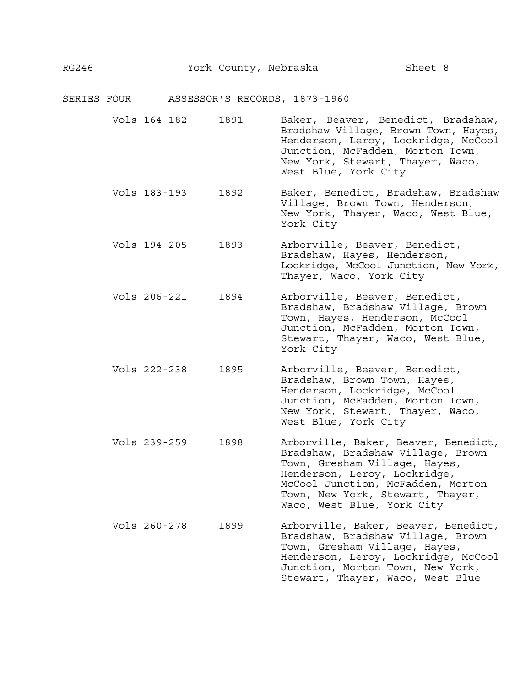| SERIES FOUR |              |      | ASSESSOR'S RECORDS, 1873-1960                                                                                                                                                                                                                     |
|-------------|--------------|------|---------------------------------------------------------------------------------------------------------------------------------------------------------------------------------------------------------------------------------------------------|
|             | Vols 164-182 | 1891 | Baker, Beaver, Benedict, Bradshaw,<br>Bradshaw Village, Brown Town, Hayes,<br>Henderson, Leroy, Lockridge, McCool<br>Junction, McFadden, Morton Town,<br>New York, Stewart, Thayer, Waco,<br>West Blue, York City                                 |
|             | Vols 183-193 | 1892 | Baker, Benedict, Bradshaw, Bradshaw<br>Village, Brown Town, Henderson,<br>New York, Thayer, Waco, West Blue,<br>York City                                                                                                                         |
|             | Vols 194-205 | 1893 | Arborville, Beaver, Benedict,<br>Bradshaw, Hayes, Henderson,<br>Lockridge, McCool Junction, New York,<br>Thayer, Waco, York City                                                                                                                  |
|             | Vols 206-221 | 1894 | Arborville, Beaver, Benedict,<br>Bradshaw, Bradshaw Village, Brown<br>Town, Hayes, Henderson, McCool<br>Junction, McFadden, Morton Town,<br>Stewart, Thayer, Waco, West Blue,<br>York City                                                        |
|             | Vols 222-238 | 1895 | Arborville, Beaver, Benedict,<br>Bradshaw, Brown Town, Hayes,<br>Henderson, Lockridge, McCool<br>Junction, McFadden, Morton Town,<br>New York, Stewart, Thayer, Waco,<br>West Blue, York City                                                     |
|             | Vols 239-259 | 1898 | Arborville, Baker, Beaver, Benedict,<br>Bradshaw, Bradshaw Village, Brown<br>Town, Gresham Village, Hayes,<br>Henderson, Leroy, Lockridge,<br>McCool Junction, McFadden, Morton<br>Town, New York, Stewart, Thayer,<br>Waco, West Blue, York City |
|             | Vols 260-278 | 1899 | Arborville, Baker, Beaver, Benedict,<br>Bradshaw, Bradshaw Village, Brown<br>Town, Gresham Village, Hayes,<br>Henderson, Leroy, Lockridge, McCool<br>Junction, Morton Town, New York,<br>Stewart, Thayer, Waco, West Blue                         |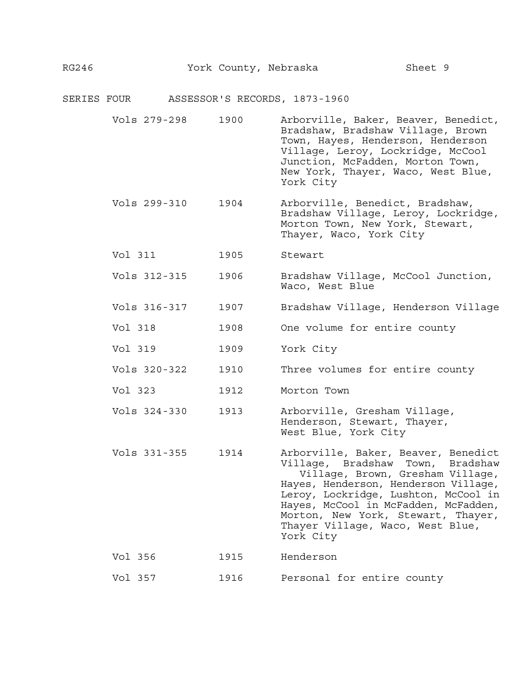# SERIES FOUR ASSESSOR'S RECORDS, 1873-1960

| Vols 279-298 | 1900 | Arborville, Baker, Beaver, Benedict,<br>Bradshaw, Bradshaw Village, Brown<br>Town, Hayes, Henderson, Henderson<br>Village, Leroy, Lockridge, McCool<br>Junction, McFadden, Morton Town,<br>New York, Thayer, Waco, West Blue,<br>York City                                                                                    |
|--------------|------|-------------------------------------------------------------------------------------------------------------------------------------------------------------------------------------------------------------------------------------------------------------------------------------------------------------------------------|
| Vols 299-310 | 1904 | Arborville, Benedict, Bradshaw,<br>Bradshaw Village, Leroy, Lockridge,<br>Morton Town, New York, Stewart,<br>Thayer, Waco, York City                                                                                                                                                                                          |
| Vol 311      | 1905 | Stewart                                                                                                                                                                                                                                                                                                                       |
| Vols 312-315 | 1906 | Bradshaw Village, McCool Junction,<br>Waco, West Blue                                                                                                                                                                                                                                                                         |
| Vols 316-317 | 1907 | Bradshaw Village, Henderson Village                                                                                                                                                                                                                                                                                           |
| Vol 318      | 1908 | One volume for entire county                                                                                                                                                                                                                                                                                                  |
| Vol 319      | 1909 | York City                                                                                                                                                                                                                                                                                                                     |
| Vols 320-322 | 1910 | Three volumes for entire county                                                                                                                                                                                                                                                                                               |
| Vol 323      | 1912 | Morton Town                                                                                                                                                                                                                                                                                                                   |
| Vols 324-330 | 1913 | Arborville, Gresham Village,<br>Henderson, Stewart, Thayer,<br>West Blue, York City                                                                                                                                                                                                                                           |
| Vols 331-355 | 1914 | Arborville, Baker, Beaver, Benedict<br>Village, Bradshaw<br>Town, Bradshaw<br>Village, Brown, Gresham Village,<br>Hayes, Henderson, Henderson Village,<br>Leroy, Lockridge, Lushton, McCool in<br>Hayes, McCool in McFadden, McFadden,<br>Morton, New York, Stewart, Thayer,<br>Thayer Village, Waco, West Blue,<br>York City |
| Vol 356      | 1915 | Henderson                                                                                                                                                                                                                                                                                                                     |
| Vol 357      | 1916 | Personal for entire county                                                                                                                                                                                                                                                                                                    |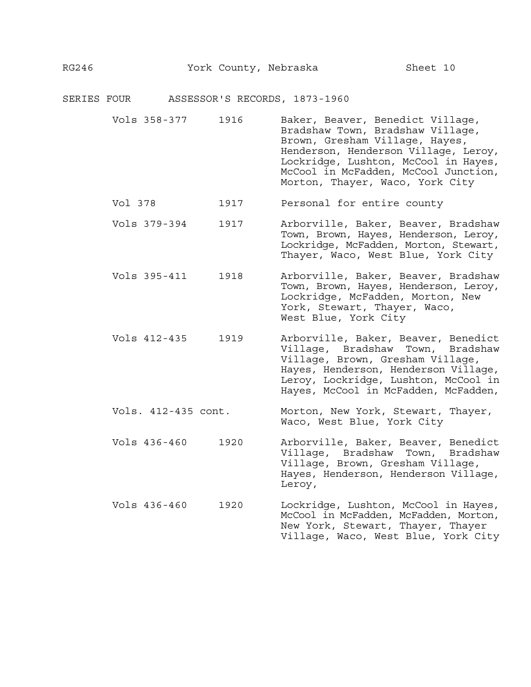| SERIES FOUR |                     |      | ASSESSOR'S RECORDS, 1873-1960                                                                                                                                                                                                                                     |
|-------------|---------------------|------|-------------------------------------------------------------------------------------------------------------------------------------------------------------------------------------------------------------------------------------------------------------------|
|             | Vols 358-377        | 1916 | Baker, Beaver, Benedict Village,<br>Bradshaw Town, Bradshaw Village,<br>Brown, Gresham Village, Hayes,<br>Henderson, Henderson Village, Leroy,<br>Lockridge, Lushton, McCool in Hayes,<br>McCool in McFadden, McCool Junction,<br>Morton, Thayer, Waco, York City |
|             | Vol 378             | 1917 | Personal for entire county                                                                                                                                                                                                                                        |
|             | Vols 379-394        | 1917 | Arborville, Baker, Beaver, Bradshaw<br>Town, Brown, Hayes, Henderson, Leroy,<br>Lockridge, McFadden, Morton, Stewart,<br>Thayer, Waco, West Blue, York City                                                                                                       |
|             | Vols 395-411        | 1918 | Arborville, Baker, Beaver, Bradshaw<br>Town, Brown, Hayes, Henderson, Leroy,<br>Lockridge, McFadden, Morton, New<br>York, Stewart, Thayer, Waco,<br>West Blue, York City                                                                                          |
|             | Vols 412-435        | 1919 | Arborville, Baker, Beaver, Benedict<br>Village, Bradshaw<br>Town, Bradshaw<br>Village, Brown, Gresham Village,<br>Hayes, Henderson, Henderson Village,<br>Leroy, Lockridge, Lushton, McCool in<br>Hayes, McCool in McFadden, McFadden,                            |
|             | Vols. 412-435 cont. |      | Morton, New York, Stewart, Thayer,<br>Waco, West Blue, York City                                                                                                                                                                                                  |
|             | Vols 436-460        | 1920 | Arborville, Baker, Beaver, Benedict<br>Village, Bradshaw<br>Town, Bradshaw<br>Village, Brown, Gresham Village,<br>Hayes, Henderson, Henderson Village,<br>Leroy,                                                                                                  |
|             | Vols 436-460        | 1920 | Lockridge, Lushton, McCool in Hayes,<br>McCool in McFadden, McFadden, Morton,<br>New York, Stewart, Thayer, Thayer<br>Village, Waco, West Blue, York City                                                                                                         |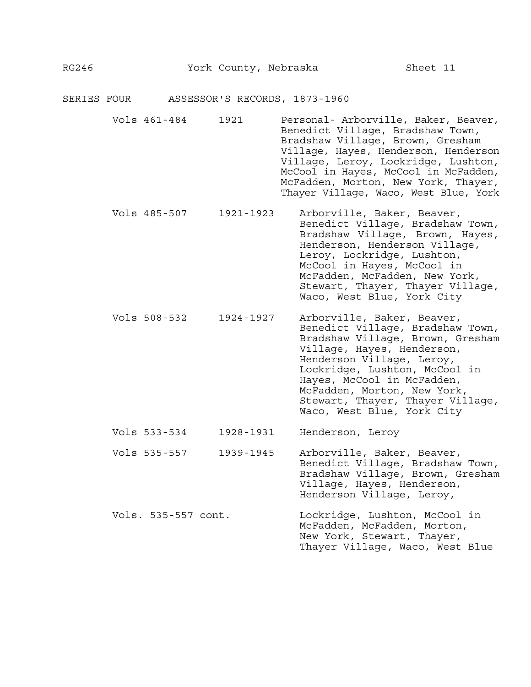| SERIES FOUR |                     |           | ASSESSOR'S RECORDS, 1873-1960                                                                                                                                                                                                                                                                                                 |
|-------------|---------------------|-----------|-------------------------------------------------------------------------------------------------------------------------------------------------------------------------------------------------------------------------------------------------------------------------------------------------------------------------------|
|             | Vols 461-484        | 1921      | Personal- Arborville, Baker, Beaver,<br>Benedict Village, Bradshaw Town,<br>Bradshaw Village, Brown, Gresham<br>Village, Hayes, Henderson, Henderson<br>Village, Leroy, Lockridge, Lushton,<br>McCool in Hayes, McCool in McFadden,<br>McFadden, Morton, New York, Thayer,<br>Thayer Village, Waco, West Blue, York           |
|             | Vols 485-507        | 1921-1923 | Arborville, Baker, Beaver,<br>Benedict Village, Bradshaw Town,<br>Bradshaw Village, Brown, Hayes,<br>Henderson, Henderson Village,<br>Leroy, Lockridge, Lushton,<br>McCool in Hayes, McCool in<br>McFadden, McFadden, New York,<br>Stewart, Thayer, Thayer Village,<br>Waco, West Blue, York City                             |
|             | Vols 508-532        | 1924-1927 | Arborville, Baker, Beaver,<br>Benedict Village, Bradshaw Town,<br>Bradshaw Village, Brown, Gresham<br>Village, Hayes, Henderson,<br>Henderson Village, Leroy,<br>Lockridge, Lushton, McCool in<br>Hayes, McCool in McFadden,<br>McFadden, Morton, New York,<br>Stewart, Thayer, Thayer Village,<br>Waco, West Blue, York City |
|             | Vols 533-534        | 1928-1931 | Henderson, Leroy                                                                                                                                                                                                                                                                                                              |
|             | Vols 535-557        | 1939-1945 | Arborville, Baker, Beaver,<br>Benedict Village, Bradshaw Town,<br>Bradshaw Village, Brown, Gresham<br>Village, Hayes, Henderson,<br>Henderson Village, Leroy,                                                                                                                                                                 |
|             | Vols. 535-557 cont. |           | Lockridge, Lushton, McCool in<br>McFadden, McFadden, Morton,<br>New York, Stewart, Thayer,<br>Thayer Village, Waco, West Blue                                                                                                                                                                                                 |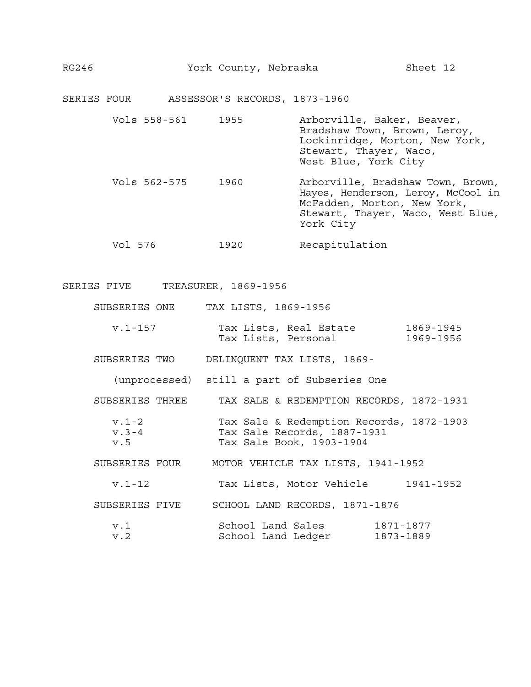| RG246 | York County, Nebraska |  | Sheet 12 |  |
|-------|-----------------------|--|----------|--|
|-------|-----------------------|--|----------|--|

SERIES FOUR ASSESSOR'S RECORDS, 1873-1960

| Vols 558-561 | 1955 | Arborville, Baker, Beaver,<br>Bradshaw Town, Brown, Leroy,<br>Lockinridge, Morton, New York,<br>Stewart, Thayer, Waco,<br>West Blue, York City           |
|--------------|------|----------------------------------------------------------------------------------------------------------------------------------------------------------|
| Vols 562-575 | 1960 | Arborville, Bradshaw Town, Brown,<br>Hayes, Henderson, Leroy, McCool in<br>McFadden, Morton, New York,<br>Stewart, Thayer, Waco, West Blue,<br>York City |

Vol 576 1920 Recapitulation

| SERIES FIVE | TREASURER, 1869-1956 |  |
|-------------|----------------------|--|
|-------------|----------------------|--|

|  | SUBSERIES ONE |  |  |  | TAX LISTS, 1869-1956 |  |
|--|---------------|--|--|--|----------------------|--|
|--|---------------|--|--|--|----------------------|--|

| v.1-157 |                     | Tax Lists, Real Estate | 1869-1945 |
|---------|---------------------|------------------------|-----------|
|         | Tax Lists, Personal |                        | 1969-1956 |

SUBSERIES TWO DELINQUENT TAX LISTS, 1869-

(unprocessed) still a part of Subseries One

SUBSERIES THREE TAX SALE & REDEMPTION RECORDS, 1872-1931

| v.1-2 | Tax Sale & Redemption Records, 1872-1903 |  |
|-------|------------------------------------------|--|
| v.3-4 | Tax Sale Records, 1887-1931              |  |
| v.5   | Tax Sale Book, 1903-1904                 |  |

SUBSERIES FOUR MOTOR VEHICLE TAX LISTS, 1941-1952

v.1-12 Tax Lists, Motor Vehicle 1941-1952

SUBSERIES FIVE SCHOOL LAND RECORDS, 1871-1876

| v.1 | School Land Sales |                    | 1871-1877 |
|-----|-------------------|--------------------|-----------|
| v.2 |                   | School Land Ledger | 1873-1889 |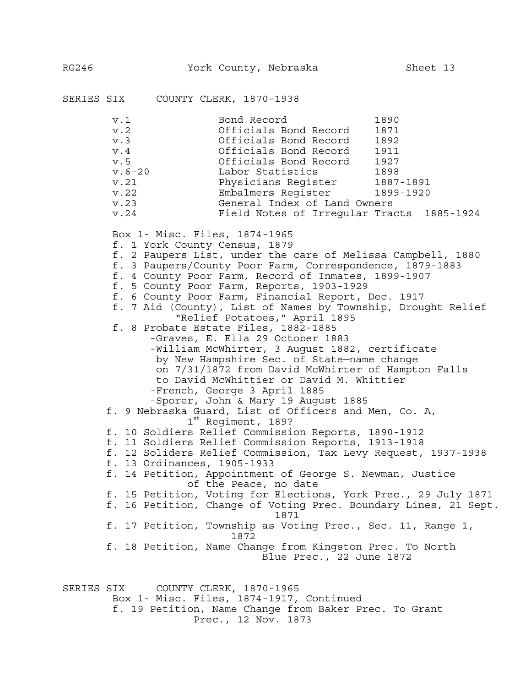SERIES SIX COUNTY CLERK, 1870-1938 v.1 Bond Record 1890 v.2 Officials Bond Record 1871 v.3 Officials Bond Record 1892 v.4 Officials Bond Record 1911 v.5 Officials Bond Record 1927 v.6-20 Labor Statistics 1898 v.21 Physicians Register 1887-1891 v.22 Embalmers Register 1899-1920 v.23 General Index of Land Owners v.24 Field Notes of Irregular Tracts 1885-1924 Box 1- Misc. Files, 1874-1965 f. 1 York County Census, 1879 f. 2 Paupers List, under the care of Melissa Campbell, 1880 f. 3 Paupers/County Poor Farm, Correspondence, 1879-1883 f. 4 County Poor Farm, Record of Inmates, 1899-1907 f. 5 County Poor Farm, Reports, 1903-1929 f. 6 County Poor Farm, Financial Report, Dec. 1917 f. 7 Aid (County), List of Names by Township, Drought Relief "Relief Potatoes," April 1895 f. 8 Probate Estate Files, 1882-1885 -Graves, E. Ella 29 October 1883 -William McWhirter, 3 August 1882, certificate by New Hampshire Sec. of State—name change on 7/31/1872 from David McWhirter of Hampton Falls to David McWhittier or David M. Whittier -French, George 3 April 1885 -Sporer, John & Mary 19 August 1885 f. 9 Nebraska Guard, List of Officers and Men, Co. A, 1st Regiment, 189? f. 10 Soldiers Relief Commission Reports, 1890-1912 f. 11 Soldiers Relief Commission Reports, 1913-1918 f. 12 Soliders Relief Commission, Tax Levy Request, 1937-1938 f. 13 Ordinances, 1905-1933 f. 14 Petition, Appointment of George S. Newman, Justice of the Peace, no date f. 15 Petition, Voting for Elections, York Prec., 29 July 1871 f. 16 Petition, Change of Voting Prec. Boundary Lines, 21 Sept. 1871 f. 17 Petition, Township as Voting Prec., Sec. 11, Range 1, 1872 f. 18 Petition, Name Change from Kingston Prec. To North Blue Prec., 22 June 1872 SERIES SIX COUNTY CLERK, 1870-1965 Box 1- Misc. Files, 1874-1917, Continued f. 19 Petition, Name Change from Baker Prec. To Grant Prec., 12 Nov. 1873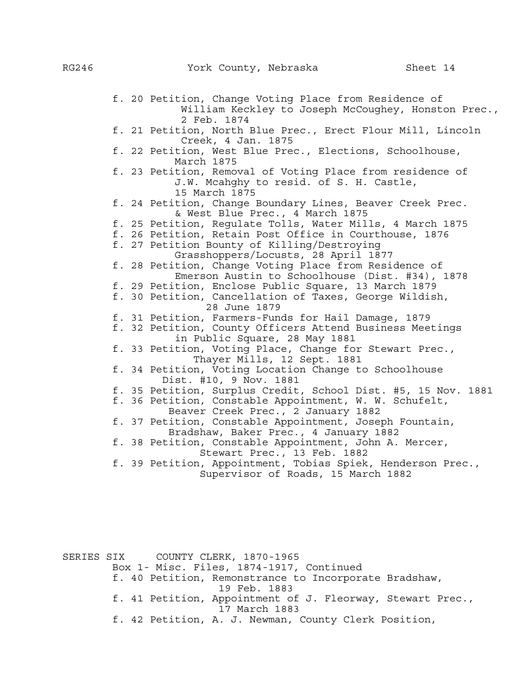|  | f. 20 Petition, Change Voting Place from Residence of<br>William Keckley to Joseph McCoughey, Honston Prec.,          |
|--|-----------------------------------------------------------------------------------------------------------------------|
|  | 2 Feb. 1874<br>f. 21 Petition, North Blue Prec., Erect Flour Mill, Lincoln                                            |
|  | Creek, 4 Jan. 1875<br>f. 22 Petition, West Blue Prec., Elections, Schoolhouse,<br>March 1875                          |
|  | f. 23 Petition, Removal of Voting Place from residence of<br>J.W. Mcahghy to resid. of S. H. Castle,<br>15 March 1875 |
|  | f. 24 Petition, Change Boundary Lines, Beaver Creek Prec.<br>& West Blue Prec., 4 March 1875                          |
|  | f. 25 Petition, Regulate Tolls, Water Mills, 4 March 1875                                                             |
|  | f. 26 Petition, Retain Post Office in Courthouse, 1876                                                                |
|  | f. 27 Petition Bounty of Killing/Destroying                                                                           |
|  | Grasshoppers/Locusts, 28 April 1877                                                                                   |
|  | f. 28 Petition, Change Voting Place from Residence of                                                                 |
|  | Emerson Austin to Schoolhouse (Dist. #34), 1878                                                                       |
|  | f. 29 Petition, Enclose Public Square, 13 March 1879                                                                  |
|  | f. 30 Petition, Cancellation of Taxes, George Wildish,                                                                |
|  | 28 June 1879                                                                                                          |
|  | f. 31 Petition, Farmers-Funds for Hail Damage, 1879                                                                   |
|  | f. 32 Petition, County Officers Attend Business Meetings                                                              |
|  | in Public Square, 28 May 1881                                                                                         |
|  | f. 33 Petition, Voting Place, Change for Stewart Prec.,<br>Thayer Mills, 12 Sept. 1881                                |
|  | f. 34 Petition, Voting Location Change to Schoolhouse<br>Dist. #10, 9 Nov. 1881                                       |
|  | f. 35 Petition, Surplus Credit, School Dist. #5, 15 Nov. 1881                                                         |
|  | f. 36 Petition, Constable Appointment, W. W. Schufelt,<br>Beaver Creek Prec., 2 January 1882                          |
|  | f. 37 Petition, Constable Appointment, Joseph Fountain,<br>Bradshaw, Baker Prec., 4 January 1882                      |
|  | f. 38 Petition, Constable Appointment, John A. Mercer,                                                                |
|  | Stewart Prec., 13 Feb. 1882                                                                                           |
|  | f. 39 Petition, Appointment, Tobias Spiek, Henderson Prec.,                                                           |
|  | Supervisor of Roads, 15 March 1882                                                                                    |
|  |                                                                                                                       |
|  |                                                                                                                       |

SERIES SIX COUNTY CLERK, 1870-1965 Box 1- Misc. Files, 1874-1917, Continued f. 40 Petition, Remonstrance to Incorporate Bradshaw, 19 Feb. 1883 f. 41 Petition, Appointment of J. Fleorway, Stewart Prec., 17 March 1883 f. 42 Petition, A. J. Newman, County Clerk Position,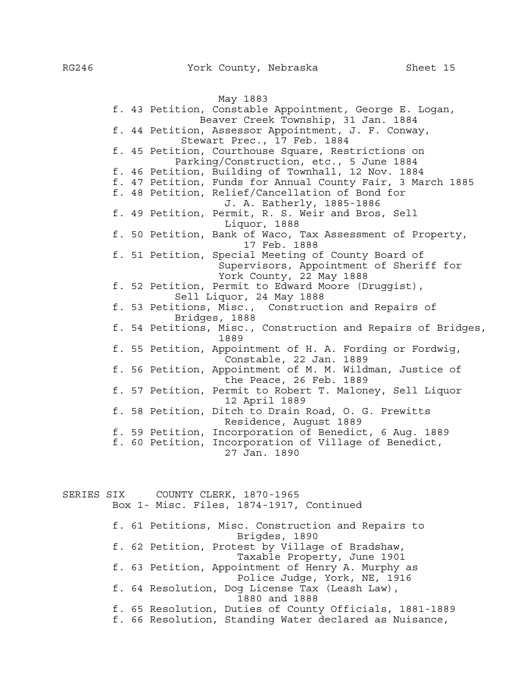May 1883 f. 43 Petition, Constable Appointment, George E. Logan, Beaver Creek Township, 31 Jan. 1884 f. 44 Petition, Assessor Appointment, J. F. Conway, Stewart Prec., 17 Feb. 1884 f. 45 Petition, Courthouse Square, Restrictions on Parking/Construction, etc., 5 June 1884 f. 46 Petition, Building of Townhall, 12 Nov. 1884 f. 47 Petition, Funds for Annual County Fair, 3 March 1885 f. 48 Petition, Relief/Cancellation of Bond for J. A. Eatherly, 1885-1886 f. 49 Petition, Permit, R. S. Weir and Bros, Sell Liquor, 1888 f. 50 Petition, Bank of Waco, Tax Assessment of Property, 17 Feb. 1888 f. 51 Petition, Special Meeting of County Board of Supervisors, Appointment of Sheriff for York County, 22 May 1888 f. 52 Petition, Permit to Edward Moore (Druggist), Sell Liquor, 24 May 1888 f. 53 Petitions, Misc., Construction and Repairs of Bridges, 1888 f. 54 Petitions, Misc., Construction and Repairs of Bridges, 1889 f. 55 Petition, Appointment of H. A. Fording or Fordwig, Constable, 22 Jan. 1889 f. 56 Petition, Appointment of M. M. Wildman, Justice of the Peace, 26 Feb. 1889 f. 57 Petition, Permit to Robert T. Maloney, Sell Liquor 12 April 1889 f. 58 Petition, Ditch to Drain Road, O. G. Prewitts Residence, August 1889 f. 59 Petition, Incorporation of Benedict, 6 Aug. 1889 f. 60 Petition, Incorporation of Village of Benedict, 27 Jan. 1890 SERIES SIX COUNTY CLERK, 1870-1965

Box 1- Misc. Files, 1874-1917, Continued f. 61 Petitions, Misc. Construction and Repairs to Brigdes, 1890 f. 62 Petition, Protest by Village of Bradshaw, Taxable Property, June 1901 f. 63 Petition, Appointment of Henry A. Murphy as Police Judge, York, NE, 1916 f. 64 Resolution, Dog License Tax (Leash Law), 1880 and 1888 f. 65 Resolution, Duties of County Officials, 1881-1889 f. 66 Resolution, Standing Water declared as Nuisance,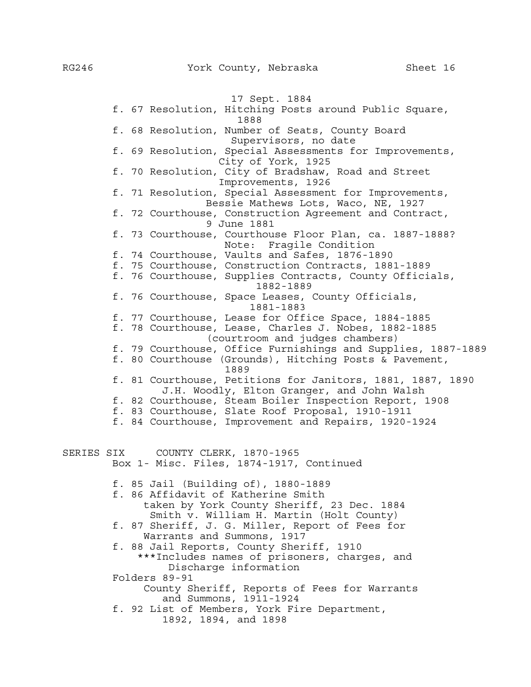17 Sept. 1884 f. 67 Resolution, Hitching Posts around Public Square, 1888 f. 68 Resolution, Number of Seats, County Board Supervisors, no date f. 69 Resolution, Special Assessments for Improvements, City of York, 1925 f. 70 Resolution, City of Bradshaw, Road and Street Improvements, 1926 f. 71 Resolution, Special Assessment for Improvements, Bessie Mathews Lots, Waco, NE, 1927 f. 72 Courthouse, Construction Agreement and Contract, 9 June 1881 f. 73 Courthouse, Courthouse Floor Plan, ca. 1887-1888? Note: Fragile Condition f. 74 Courthouse, Vaults and Safes, 1876-1890 f. 75 Courthouse, Construction Contracts, 1881-1889 f. 76 Courthouse, Supplies Contracts, County Officials, 1882-1889 f. 76 Courthouse, Space Leases, County Officials, 1881-1883 f. 77 Courthouse, Lease for Office Space, 1884-1885 f. 78 Courthouse, Lease, Charles J. Nobes, 1882-1885 (courtroom and judges chambers) f. 79 Courthouse, Office Furnishings and Supplies, 1887-1889 f. 80 Courthouse (Grounds), Hitching Posts & Pavement, 1889 f. 81 Courthouse, Petitions for Janitors, 1881, 1887, 1890 J.H. Woodly, Elton Granger, and John Walsh f. 82 Courthouse, Steam Boiler Inspection Report, 1908 f. 83 Courthouse, Slate Roof Proposal, 1910-1911 f. 84 Courthouse, Improvement and Repairs, 1920-1924 SERIES SIX COUNTY CLERK, 1870-1965 Box 1- Misc. Files, 1874-1917, Continued f. 85 Jail (Building of), 1880-1889 f. 86 Affidavit of Katherine Smith taken by York County Sheriff, 23 Dec. 1884 Smith v. William H. Martin (Holt County) f. 87 Sheriff, J. G. Miller, Report of Fees for Warrants and Summons, 1917 f. 88 Jail Reports, County Sheriff, 1910 \*\*\*Includes names of prisoners, charges, and Discharge information Folders 89-91 County Sheriff, Reports of Fees for Warrants and Summons, 1911-1924 f. 92 List of Members, York Fire Department, 1892, 1894, and 1898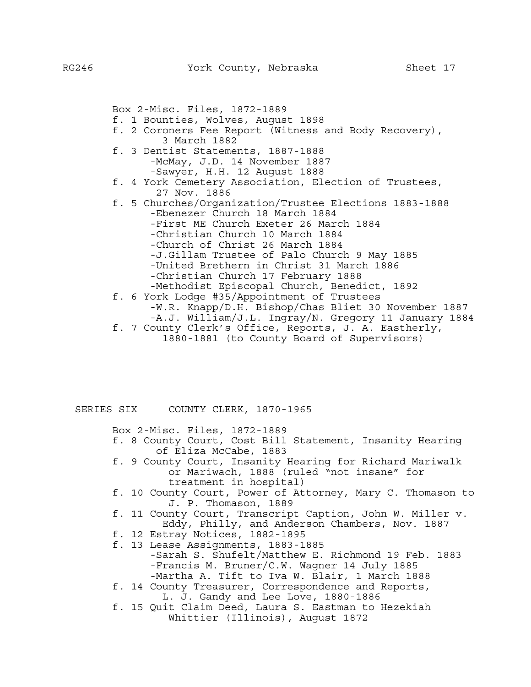Box 2-Misc. Files, 1872-1889 f. 1 Bounties, Wolves, August 1898 f. 2 Coroners Fee Report (Witness and Body Recovery), 3 March 1882 f. 3 Dentist Statements, 1887-1888 -McMay, J.D. 14 November 1887 -Sawyer, H.H. 12 August 1888 f. 4 York Cemetery Association, Election of Trustees, 27 Nov. 1886 f. 5 Churches/Organization/Trustee Elections 1883-1888 -Ebenezer Church 18 March 1884 -First ME Church Exeter 26 March 1884 -Christian Church 10 March 1884 -Church of Christ 26 March 1884 -J.Gillam Trustee of Palo Church 9 May 1885 -United Brethern in Christ 31 March 1886 -Christian Church 17 February 1888 -Methodist Episcopal Church, Benedict, 1892 f. 6 York Lodge #35/Appointment of Trustees -W.R. Knapp/D.H. Bishop/Chas Bliet 30 November 1887 -A.J. William/J.L. Ingray/N. Gregory 11 January 1884 f. 7 County Clerk's Office, Reports, J. A. Eastherly, 1880-1881 (to County Board of Supervisors)

SERIES SIX COUNTY CLERK, 1870-1965

Box 2-Misc. Files, 1872-1889

- f. 8 County Court, Cost Bill Statement, Insanity Hearing of Eliza McCabe, 1883
- f. 9 County Court, Insanity Hearing for Richard Mariwalk or Mariwach, 1888 (ruled "not insane" for treatment in hospital)
- f. 10 County Court, Power of Attorney, Mary C. Thomason to J. P. Thomason, 1889
- f. 11 County Court, Transcript Caption, John W. Miller v. Eddy, Philly, and Anderson Chambers, Nov. 1887
- f. 12 Estray Notices, 1882-1895
- f. 13 Lease Assignments, 1883-1885
	- -Sarah S. Shufelt/Matthew E. Richmond 19 Feb. 1883 -Francis M. Bruner/C.W. Wagner 14 July 1885 -Martha A. Tift to Iva W. Blair, 1 March 1888
- f. 14 County Treasurer, Correspondence and Reports, L. J. Gandy and Lee Love, 1880-1886
- f. 15 Quit Claim Deed, Laura S. Eastman to Hezekiah Whittier (Illinois), August 1872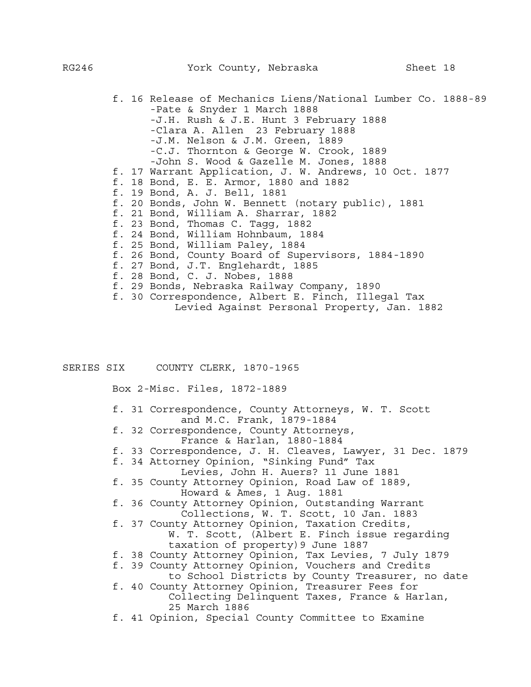f. 16 Release of Mechanics Liens/National Lumber Co. 1888-89 -Pate & Snyder 1 March 1888 -J.H. Rush & J.E. Hunt 3 February 1888 -Clara A. Allen 23 February 1888 -J.M. Nelson & J.M. Green, 1889 -C.J. Thornton & George W. Crook, 1889 -John S. Wood & Gazelle M. Jones, 1888 f. 17 Warrant Application, J. W. Andrews, 10 Oct. 1877 f. 18 Bond, E. E. Armor, 1880 and 1882 f. 19 Bond, A. J. Bell, 1881 f. 20 Bonds, John W. Bennett (notary public), 1881 f. 21 Bond, William A. Sharrar, 1882 f. 23 Bond, Thomas C. Tagg, 1882 f. 24 Bond, William Hohnbaum, 1884 f. 25 Bond, William Paley, 1884 f. 26 Bond, County Board of Supervisors, 1884-1890 f. 27 Bond, J.T. Englehardt, 1885 f. 28 Bond, C. J. Nobes, 1888 f. 29 Bonds, Nebraska Railway Company, 1890 f. 30 Correspondence, Albert E. Finch, Illegal Tax Levied Against Personal Property, Jan. 1882

SERIES SIX COUNTY CLERK, 1870-1965

Box 2-Misc. Files, 1872-1889

- f. 31 Correspondence, County Attorneys, W. T. Scott and M.C. Frank, 1879-1884
- f. 32 Correspondence, County Attorneys, France & Harlan, 1880-1884
- f. 33 Correspondence, J. H. Cleaves, Lawyer, 31 Dec. 1879
- f. 34 Attorney Opinion, "Sinking Fund" Tax Levies, John H. Auers? 11 June 1881
- f. 35 County Attorney Opinion, Road Law of 1889, Howard & Ames, 1 Aug. 1881
- f. 36 County Attorney Opinion, Outstanding Warrant Collections, W. T. Scott, 10 Jan. 1883
- f. 37 County Attorney Opinion, Taxation Credits, W. T. Scott, (Albert E. Finch issue regarding taxation of property)9 June 1887
- f. 38 County Attorney Opinion, Tax Levies, 7 July 1879
- f. 39 County Attorney Opinion, Vouchers and Credits
- to School Districts by County Treasurer, no date f. 40 County Attorney Opinion, Treasurer Fees for
	- Collecting Delinquent Taxes, France & Harlan, 25 March 1886
- f. 41 Opinion, Special County Committee to Examine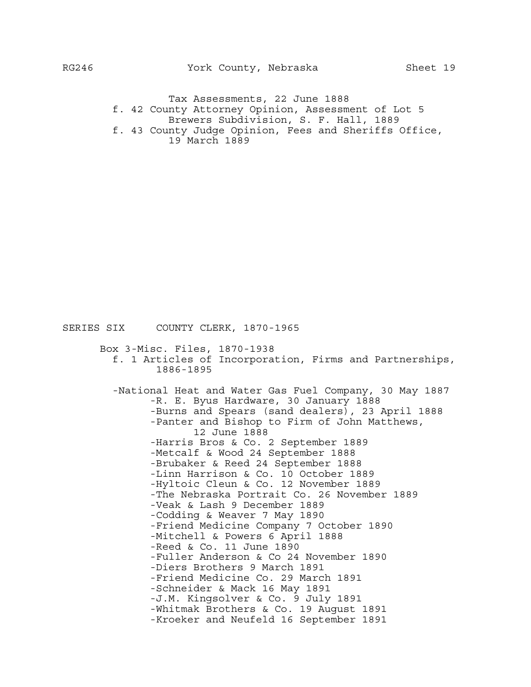Tax Assessments, 22 June 1888 f. 42 County Attorney Opinion, Assessment of Lot 5 Brewers Subdivision, S. F. Hall, 1889 f. 43 County Judge Opinion, Fees and Sheriffs Office, 19 March 1889

 Box 3-Misc. Files, 1870-1938 f. 1 Articles of Incorporation, Firms and Partnerships, 1886-1895 -National Heat and Water Gas Fuel Company, 30 May 1887 -R. E. Byus Hardware, 30 January 1888 -Burns and Spears (sand dealers), 23 April 1888 -Panter and Bishop to Firm of John Matthews, 12 June 1888 -Harris Bros & Co. 2 September 1889 -Metcalf & Wood 24 September 1888 -Brubaker & Reed 24 September 1888 -Linn Harrison & Co. 10 October 1889 -Hyltoic Cleun & Co. 12 November 1889 -The Nebraska Portrait Co. 26 November 1889 -Veak & Lash 9 December 1889 -Codding & Weaver 7 May 1890 -Friend Medicine Company 7 October 1890 -Mitchell & Powers 6 April 1888 -Reed & Co. 11 June 1890 -Fuller Anderson & Co 24 November 1890 -Diers Brothers 9 March 1891 -Friend Medicine Co. 29 March 1891 -Schneider & Mack 16 May 1891 -J.M. Kingsolver & Co. 9 July 1891 -Whitmak Brothers & Co. 19 August 1891 -Kroeker and Neufeld 16 September 1891

SERIES SIX COUNTY CLERK, 1870-1965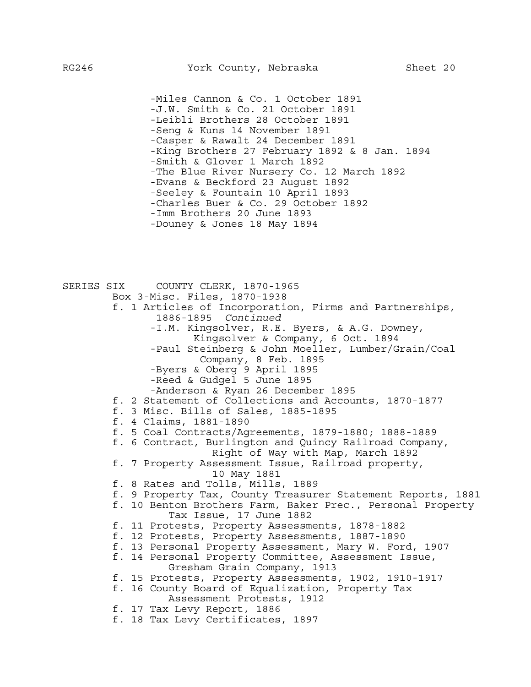-Miles Cannon & Co. 1 October 1891 -J.W. Smith & Co. 21 October 1891 -Leibli Brothers 28 October 1891 -Seng & Kuns 14 November 1891 -Casper & Rawalt 24 December 1891 -King Brothers 27 February 1892 & 8 Jan. 1894 -Smith & Glover 1 March 1892 -The Blue River Nursery Co. 12 March 1892 -Evans & Beckford 23 August 1892 -Seeley & Fountain 10 April 1893 -Charles Buer & Co. 29 October 1892 -Imm Brothers 20 June 1893 -Douney & Jones 18 May 1894

SERIES SIX COUNTY CLERK, 1870-1965 Box 3-Misc. Files, 1870-1938 f. 1 Articles of Incorporation, Firms and Partnerships, 1886-1895 *Continued* -I.M. Kingsolver, R.E. Byers, & A.G. Downey, Kingsolver & Company, 6 Oct. 1894 -Paul Steinberg & John Moeller, Lumber/Grain/Coal Company, 8 Feb. 1895 -Byers & Oberg 9 April 1895 -Reed & Gudgel 5 June 1895 -Anderson & Ryan 26 December 1895 f. 2 Statement of Collections and Accounts, 1870-1877 f. 3 Misc. Bills of Sales, 1885-1895 f. 4 Claims, 1881-1890 f. 5 Coal Contracts/Agreements, 1879-1880; 1888-1889 f. 6 Contract, Burlington and Quincy Railroad Company, Right of Way with Map, March 1892 f. 7 Property Assessment Issue, Railroad property, 10 May 1881 f. 8 Rates and Tolls, Mills, 1889 f. 9 Property Tax, County Treasurer Statement Reports, 1881 f. 10 Benton Brothers Farm, Baker Prec., Personal Property Tax Issue, 17 June 1882 f. 11 Protests, Property Assessments, 1878-1882 f. 12 Protests, Property Assessments, 1887-1890 f. 13 Personal Property Assessment, Mary W. Ford, 1907 f. 14 Personal Property Committee, Assessment Issue, Gresham Grain Company, 1913 f. 15 Protests, Property Assessments, 1902, 1910-1917 f. 16 County Board of Equalization, Property Tax Assessment Protests, 1912 f. 17 Tax Levy Report, 1886 f. 18 Tax Levy Certificates, 1897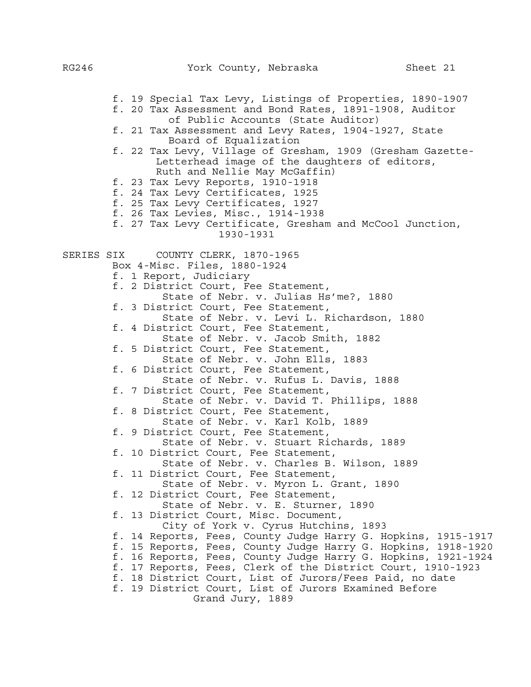f. 19 Special Tax Levy, Listings of Properties, 1890-1907 f. 20 Tax Assessment and Bond Rates, 1891-1908, Auditor of Public Accounts (State Auditor) f. 21 Tax Assessment and Levy Rates, 1904-1927, State Board of Equalization f. 22 Tax Levy, Village of Gresham, 1909 (Gresham Gazette- Letterhead image of the daughters of editors, Ruth and Nellie May McGaffin) f. 23 Tax Levy Reports, 1910-1918 f. 24 Tax Levy Certificates, 1925 f. 25 Tax Levy Certificates, 1927 f. 26 Tax Levies, Misc., 1914-1938 f. 27 Tax Levy Certificate, Gresham and McCool Junction, 1930-1931 SERIES SIX COUNTY CLERK, 1870-1965 Box 4-Misc. Files, 1880-1924 f. 1 Report, Judiciary f. 2 District Court, Fee Statement, State of Nebr. v. Julias Hs'me?, 1880 f. 3 District Court, Fee Statement, State of Nebr. v. Levi L. Richardson, 1880 f. 4 District Court, Fee Statement, State of Nebr. v. Jacob Smith, 1882 f. 5 District Court, Fee Statement, State of Nebr. v. John Ells, 1883 f. 6 District Court, Fee Statement, State of Nebr. v. Rufus L. Davis, 1888 f. 7 District Court, Fee Statement, State of Nebr. v. David T. Phillips, 1888 f. 8 District Court, Fee Statement, State of Nebr. v. Karl Kolb, 1889 f. 9 District Court, Fee Statement, State of Nebr. v. Stuart Richards, 1889 f. 10 District Court, Fee Statement, State of Nebr. v. Charles B. Wilson, 1889 f. 11 District Court, Fee Statement, State of Nebr. v. Myron L. Grant, 1890 f. 12 District Court, Fee Statement, State of Nebr. v. E. Sturner, 1890 f. 13 District Court, Misc. Document, City of York v. Cyrus Hutchins, 1893 f. 14 Reports, Fees, County Judge Harry G. Hopkins, 1915-1917 f. 15 Reports, Fees, County Judge Harry G. Hopkins, 1918-1920 f. 16 Reports, Fees, County Judge Harry G. Hopkins, 1921-1924 f. 17 Reports, Fees, Clerk of the District Court, 1910-1923 f. 18 District Court, List of Jurors/Fees Paid, no date f. 19 District Court, List of Jurors Examined Before Grand Jury, 1889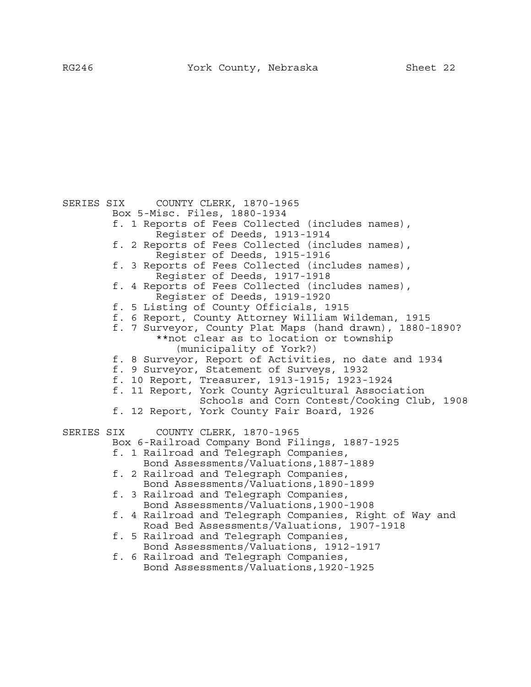SERIES SIX COUNTY CLERK, 1870-1965 Box 5-Misc. Files, 1880-1934 f. 1 Reports of Fees Collected (includes names), Register of Deeds, 1913-1914 f. 2 Reports of Fees Collected (includes names), Register of Deeds, 1915-1916 f. 3 Reports of Fees Collected (includes names), Register of Deeds, 1917-1918 f. 4 Reports of Fees Collected (includes names), Register of Deeds, 1919-1920 f. 5 Listing of County Officials, 1915 f. 6 Report, County Attorney William Wildeman, 1915 f. 7 Surveyor, County Plat Maps (hand drawn), 1880-1890? \*\*not clear as to location or township (municipality of York?) f. 8 Surveyor, Report of Activities, no date and 1934 f. 9 Surveyor, Statement of Surveys, 1932 f. 10 Report, Treasurer, 1913-1915; 1923-1924 f. 11 Report, York County Agricultural Association Schools and Corn Contest/Cooking Club, 1908 f. 12 Report, York County Fair Board, 1926 SERIES SIX COUNTY CLERK, 1870-1965 Box 6-Railroad Company Bond Filings, 1887-1925 f. 1 Railroad and Telegraph Companies, Bond Assessments/Valuations,1887-1889 f. 2 Railroad and Telegraph Companies, Bond Assessments/Valuations,1890-1899 f. 3 Railroad and Telegraph Companies, Bond Assessments/Valuations,1900-1908 f. 4 Railroad and Telegraph Companies, Right of Way and Road Bed Assessments/Valuations, 1907-1918 f. 5 Railroad and Telegraph Companies, Bond Assessments/Valuations, 1912-1917 f. 6 Railroad and Telegraph Companies, Bond Assessments/Valuations,1920-1925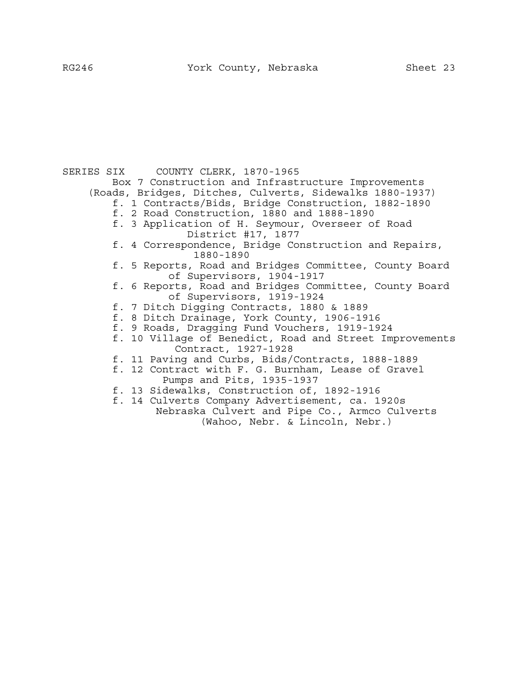SERIES SIX COUNTY CLERK, 1870-1965 Box 7 Construction and Infrastructure Improvements (Roads, Bridges, Ditches, Culverts, Sidewalks 1880-1937) f. 1 Contracts/Bids, Bridge Construction, 1882-1890 f. 2 Road Construction, 1880 and 1888-1890 f. 3 Application of H. Seymour, Overseer of Road District #17, 1877 f. 4 Correspondence, Bridge Construction and Repairs, 1880-1890 f. 5 Reports, Road and Bridges Committee, County Board of Supervisors, 1904-1917 f. 6 Reports, Road and Bridges Committee, County Board of Supervisors, 1919-1924 f. 7 Ditch Digging Contracts, 1880 & 1889 f. 8 Ditch Drainage, York County, 1906-1916 f. 9 Roads, Dragging Fund Vouchers, 1919-1924 f. 10 Village of Benedict, Road and Street Improvements Contract, 1927-1928 f. 11 Paving and Curbs, Bids/Contracts, 1888-1889 f. 12 Contract with F. G. Burnham, Lease of Gravel Pumps and Pits, 1935-1937 f. 13 Sidewalks, Construction of, 1892-1916 f. 14 Culverts Company Advertisement, ca. 1920s Nebraska Culvert and Pipe Co., Armco Culverts

(Wahoo, Nebr. & Lincoln, Nebr.)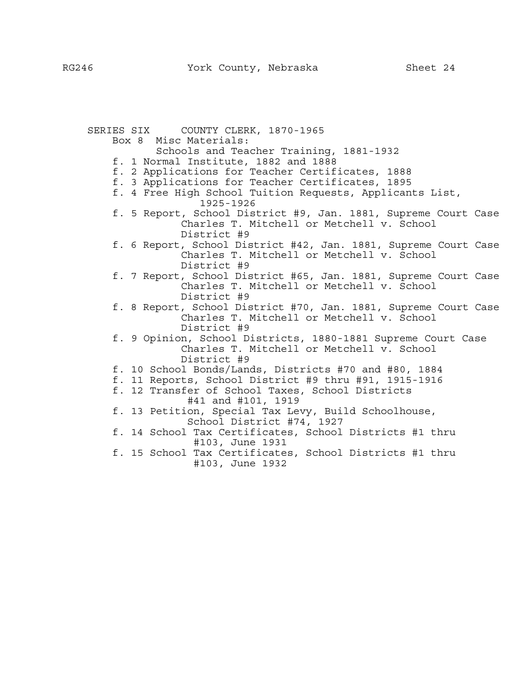SERIES SIX COUNTY CLERK, 1870-1965 Box 8 Misc Materials: Schools and Teacher Training, 1881-1932 f. 1 Normal Institute, 1882 and 1888 f. 2 Applications for Teacher Certificates, 1888 f. 3 Applications for Teacher Certificates, 1895 f. 4 Free High School Tuition Requests, Applicants List, 1925-1926 f. 5 Report, School District #9, Jan. 1881, Supreme Court Case Charles T. Mitchell or Metchell v. School District #9 f. 6 Report, School District #42, Jan. 1881, Supreme Court Case Charles T. Mitchell or Metchell v. School District #9 f. 7 Report, School District #65, Jan. 1881, Supreme Court Case Charles T. Mitchell or Metchell v. School District #9 f. 8 Report, School District #70, Jan. 1881, Supreme Court Case Charles T. Mitchell or Metchell v. School District #9 f. 9 Opinion, School Districts, 1880-1881 Supreme Court Case Charles T. Mitchell or Metchell v. School District #9 f. 10 School Bonds/Lands, Districts #70 and #80, 1884 f. 11 Reports, School District #9 thru #91, 1915-1916 f. 12 Transfer of School Taxes, School Districts #41 and #101, 1919 f. 13 Petition, Special Tax Levy, Build Schoolhouse, School District #74, 1927 f. 14 School Tax Certificates, School Districts #1 thru #103, June 1931 f. 15 School Tax Certificates, School Districts #1 thru #103, June 1932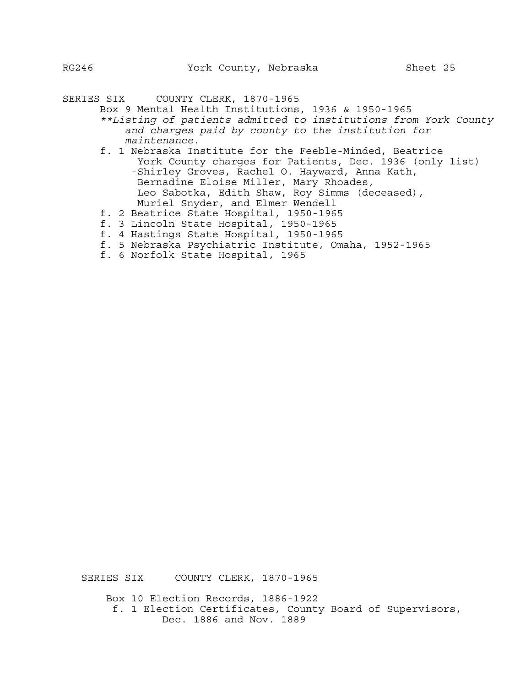SERIES SIX COUNTY CLERK, 1870-1965

- Box 9 Mental Health Institutions, 1936 & 1950-1965
	- *\*\*Listing of patients admitted to institutions from York County and charges paid by county to the institution for maintenance*. f. 1 Nebraska Institute for the Feeble-Minded, Beatrice
		- York County charges for Patients, Dec. 1936 (only list) -Shirley Groves, Rachel O. Hayward, Anna Kath, Bernadine Eloise Miller, Mary Rhoades, Leo Sabotka, Edith Shaw, Roy Simms (deceased), Muriel Snyder, and Elmer Wendell
	- f. 2 Beatrice State Hospital, 1950-1965
	- f. 3 Lincoln State Hospital, 1950-1965
	- f. 4 Hastings State Hospital, 1950-1965
	- f. 5 Nebraska Psychiatric Institute, Omaha, 1952-1965
	- f. 6 Norfolk State Hospital, 1965

SERIES SIX COUNTY CLERK, 1870-1965

 Box 10 Election Records, 1886-1922 f. 1 Election Certificates, County Board of Supervisors, Dec. 1886 and Nov. 1889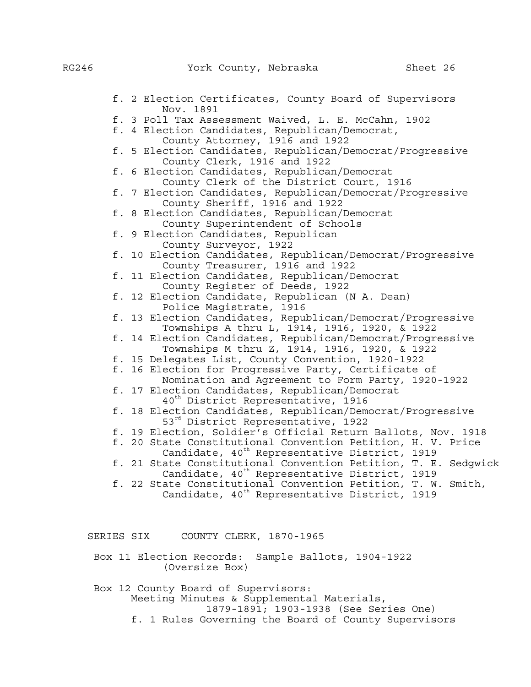|            | f. 2 Election Certificates, County Board of Supervisors<br>Nov. 1891                                           |
|------------|----------------------------------------------------------------------------------------------------------------|
|            | f. 3 Poll Tax Assessment Waived, L. E. McCahn, 1902                                                            |
|            | f. 4 Election Candidates, Republican/Democrat,                                                                 |
|            | County Attorney, 1916 and 1922                                                                                 |
|            | f. 5 Election Candidates, Republican/Democrat/Progressive                                                      |
|            | County Clerk, 1916 and 1922                                                                                    |
|            | f. 6 Election Candidates, Republican/Democrat                                                                  |
|            | County Clerk of the District Court, 1916                                                                       |
|            | f. 7 Election Candidates, Republican/Democrat/Progressive                                                      |
|            | County Sheriff, 1916 and 1922                                                                                  |
|            | f. 8 Election Candidates, Republican/Democrat                                                                  |
|            | County Superintendent of Schools                                                                               |
|            | f. 9 Election Candidates, Republican                                                                           |
|            | County Surveyor, 1922                                                                                          |
|            | f. 10 Election Candidates, Republican/Democrat/Progressive<br>County Treasurer, 1916 and 1922                  |
|            | f. 11 Election Candidates, Republican/Democrat                                                                 |
|            | County Register of Deeds, 1922                                                                                 |
|            | f. 12 Election Candidate, Republican (N A. Dean)                                                               |
|            | Police Magistrate, 1916                                                                                        |
|            | f. 13 Election Candidates, Republican/Democrat/Progressive                                                     |
|            | Townships A thru L, 1914, 1916, 1920, & 1922                                                                   |
|            | f. 14 Election Candidates, Republican/Democrat/Progressive                                                     |
|            | Townships M thru Z, 1914, 1916, 1920, & 1922                                                                   |
|            | f. 15 Delegates List, County Convention, 1920-1922                                                             |
|            | f. 16 Election for Progressive Party, Certificate of                                                           |
|            | Nomination and Agreement to Form Party, 1920-1922                                                              |
|            | f. 17 Election Candidates, Republican/Democrat                                                                 |
|            | 40 <sup>th</sup> District Representative, 1916                                                                 |
|            | f. 18 Election Candidates, Republican/Democrat/Progressive                                                     |
|            | 53 <sup>rd</sup> District Representative, 1922<br>f. 19 Election, Soldier's Official Return Ballots, Nov. 1918 |
|            | f. 20 State Constitutional Convention Petition, H. V. Price                                                    |
|            | Candidate, 40 <sup>th</sup> Representative District, 1919                                                      |
|            | f. 21 State Constitutional Convention Petition, T. E. Sedgwick                                                 |
|            | Candidate, 40 <sup>th</sup> Representative District, 1919                                                      |
|            | f. 22 State Constitutional Convention Petition, T. W. Smith,                                                   |
|            | Candidate, 40 <sup>th</sup> Representative District, 1919                                                      |
|            |                                                                                                                |
|            |                                                                                                                |
|            |                                                                                                                |
| SERIES SIX | COUNTY CLERK, 1870-1965                                                                                        |
|            | Box 11 Election Records: Sample Ballots, 1904-1922                                                             |
|            |                                                                                                                |

(Oversize Box)

 Box 12 County Board of Supervisors: Meeting Minutes & Supplemental Materials, 1879-1891; 1903-1938 (See Series One) f. 1 Rules Governing the Board of County Supervisors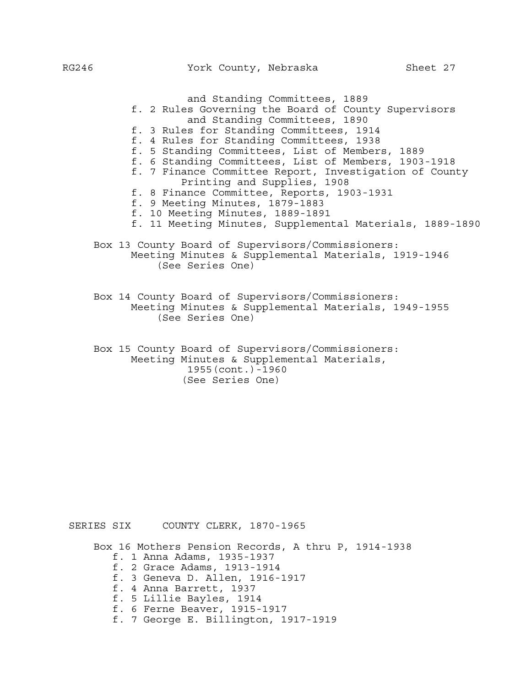and Standing Committees, 1889 f. 2 Rules Governing the Board of County Supervisors and Standing Committees, 1890 f. 3 Rules for Standing Committees, 1914 f. 4 Rules for Standing Committees, 1938 f. 5 Standing Committees, List of Members, 1889 f. 6 Standing Committees, List of Members, 1903-1918 f. 7 Finance Committee Report, Investigation of County Printing and Supplies, 1908 f. 8 Finance Committee, Reports, 1903-1931 f. 9 Meeting Minutes, 1879-1883 f. 10 Meeting Minutes, 1889-1891 f. 11 Meeting Minutes, Supplemental Materials, 1889-1890 Box 13 County Board of Supervisors/Commissioners: Meeting Minutes & Supplemental Materials, 1919-1946 (See Series One) Box 14 County Board of Supervisors/Commissioners: Meeting Minutes & Supplemental Materials, 1949-1955 (See Series One)

 Box 15 County Board of Supervisors/Commissioners: Meeting Minutes & Supplemental Materials, 1955(cont.)-1960 (See Series One)

SERIES SIX COUNTY CLERK, 1870-1965

Box 16 Mothers Pension Records, A thru P, 1914-1938

- f. 1 Anna Adams, 1935-1937
- f. 2 Grace Adams, 1913-1914
- f. 3 Geneva D. Allen, 1916-1917
- f. 4 Anna Barrett, 1937
- f. 5 Lillie Bayles, 1914
- f. 6 Ferne Beaver, 1915-1917
- f. 7 George E. Billington, 1917-1919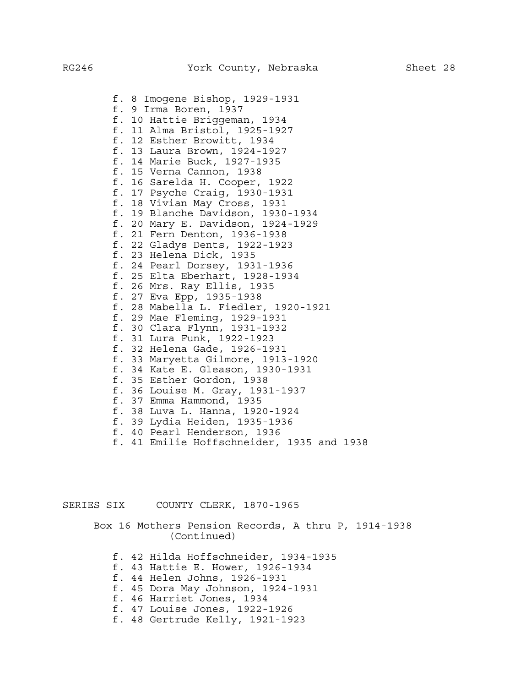f. 8 Imogene Bishop, 1929-1931 f. 9 Irma Boren, 1937 f. 10 Hattie Briggeman, 1934 f. 11 Alma Bristol, 1925-1927 f. 12 Esther Browitt, 1934 f. 13 Laura Brown, 1924-1927 f. 14 Marie Buck, 1927-1935 f. 15 Verna Cannon, 1938 f. 16 Sarelda H. Cooper, 1922 f. 17 Psyche Craig, 1930-1931 f. 18 Vivian May Cross, 1931 f. 19 Blanche Davidson, 1930-1934 f. 20 Mary E. Davidson, 1924-1929 f. 21 Fern Denton, 1936-1938 f. 22 Gladys Dents, 1922-1923 f. 23 Helena Dick, 1935 f. 24 Pearl Dorsey, 1931-1936 f. 25 Elta Eberhart, 1928-1934 f. 26 Mrs. Ray Ellis, 1935 f. 27 Eva Epp, 1935-1938 f. 28 Mabella L. Fiedler, 1920-1921 f. 29 Mae Fleming, 1929-1931 f. 30 Clara Flynn, 1931-1932 f. 31 Lura Funk, 1922-1923 f. 32 Helena Gade, 1926-1931 f. 33 Maryetta Gilmore, 1913-1920 f. 34 Kate E. Gleason, 1930-1931 f. 35 Esther Gordon, 1938 f. 36 Louise M. Gray, 1931-1937 f. 37 Emma Hammond, 1935 f. 38 Luva L. Hanna, 1920-1924 f. 39 Lydia Heiden, 1935-1936 f. 40 Pearl Henderson, 1936 f. 41 Emilie Hoffschneider, 1935 and 1938

SERIES SIX COUNTY CLERK, 1870-1965

 Box 16 Mothers Pension Records, A thru P, 1914-1938 (Continued)

- f. 42 Hilda Hoffschneider, 1934-1935
- f. 43 Hattie E. Hower, 1926-1934
- f. 44 Helen Johns, 1926-1931
- f. 45 Dora May Johnson, 1924-1931
- f. 46 Harriet Jones, 1934
- f. 47 Louise Jones, 1922-1926
- f. 48 Gertrude Kelly, 1921-1923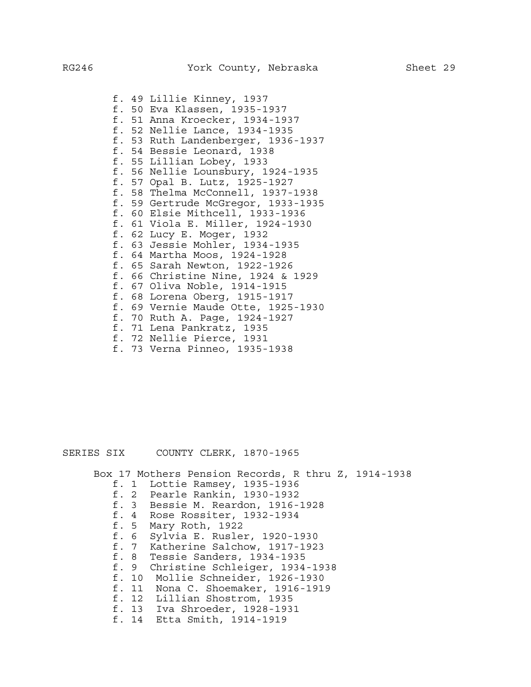f. 49 Lillie Kinney, 1937 f. 50 Eva Klassen, 1935-1937 f. 51 Anna Kroecker, 1934-1937 f. 52 Nellie Lance, 1934-1935 f. 53 Ruth Landenberger, 1936-1937 f. 54 Bessie Leonard, 1938 f. 55 Lillian Lobey, 1933 f. 56 Nellie Lounsbury, 1924-1935 f. 57 Opal B. Lutz, 1925-1927 f. 58 Thelma McConnell, 1937-1938 f. 59 Gertrude McGregor, 1933-1935 f. 60 Elsie Mithcell, 1933-1936 f. 61 Viola E. Miller, 1924-1930 f. 62 Lucy E. Moger, 1932 f. 63 Jessie Mohler, 1934-1935 f. 64 Martha Moos, 1924-1928 f. 65 Sarah Newton, 1922-1926 f. 66 Christine Nine, 1924 & 1929 f. 67 Oliva Noble, 1914-1915 f. 68 Lorena Oberg, 1915-1917 f. 69 Vernie Maude Otte, 1925-1930 f. 70 Ruth A. Page, 1924-1927 f. 71 Lena Pankratz, 1935 f. 72 Nellie Pierce, 1931

f. 73 Verna Pinneo, 1935-1938

## SERIES SIX COUNTY CLERK, 1870-1965

Box 17 Mothers Pension Records, R thru Z, 1914-1938

- f. 1 Lottie Ramsey, 1935-1936
- f. 2 Pearle Rankin, 1930-1932
- f. 3 Bessie M. Reardon, 1916-1928
- f. 4 Rose Rossiter, 1932-1934
- f. 5 Mary Roth, 1922
- f. 6 Sylvia E. Rusler, 1920-1930
- f. 7 Katherine Salchow, 1917-1923
- f. 8 Tessie Sanders, 1934-1935
- f. 9 Christine Schleiger, 1934-1938
- f. 10 Mollie Schneider, 1926-1930
- f. 11 Nona C. Shoemaker, 1916-1919
- f. 12 Lillian Shostrom, 1935
- f. 13 Iva Shroeder, 1928-1931
- f. 14 Etta Smith, 1914-1919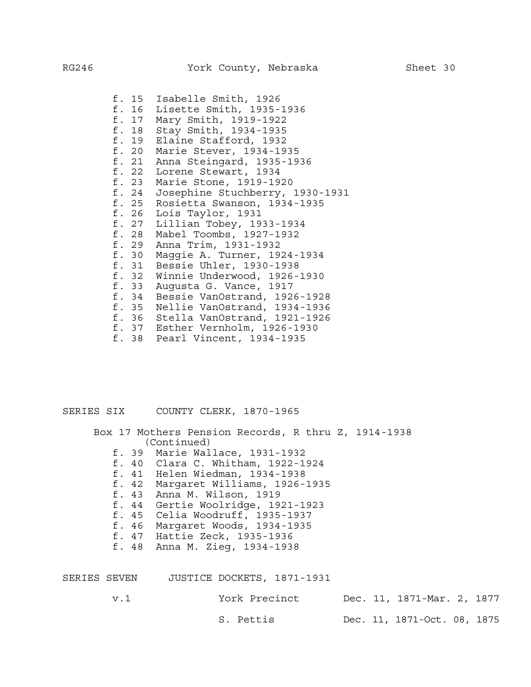f. 15 Isabelle Smith, 1926 f. 16 Lisette Smith, 1935-1936 Mary Smith, 1919-1922 f. 18 Stay Smith, 1934-1935 f. 19 Elaine Stafford, 1932 f. 20 Marie Stever, 1934-1935 f. 21 Anna Steingard, 1935-1936 f. 22 Lorene Stewart, 1934 f. 23 Marie Stone, 1919-1920 f. 24 Josephine Stuchberry, 1930-1931 f. 25 Rosietta Swanson, 1934-1935 f. 26 Lois Taylor, 1931 Lillian Tobey, 1933-1934 f. 28 Mabel Toombs, 1927-1932 f. 29 Anna Trim, 1931-1932 f. 30 Maggie A. Turner, 1924-1934 f. 31 Bessie Uhler, 1930-1938 f. 32 Winnie Underwood, 1926-1930 f. 33 Augusta G. Vance, 1917 f. 34 Bessie VanOstrand, 1926-1928 f. 35 Nellie VanOstrand, 1934-1936 f. 36 Stella VanOstrand, 1921-1926 f. 37 Esther Vernholm, 1926-1930 f. 38 Pearl Vincent, 1934-1935

SERIES SIX COUNTY CLERK, 1870-1965

 Box 17 Mothers Pension Records, R thru Z, 1914-1938 (Continued)

- f. 39 Marie Wallace, 1931-1932
- f. 40 Clara C. Whitham, 1922-1924
- f. 41 Helen Wiedman, 1934-1938
- f. 42 Margaret Williams, 1926-1935
- f. 43 Anna M. Wilson, 1919
- f. 44 Gertie Woolridge, 1921-1923
- f. 45 Celia Woodruff, 1935-1937
- f. 46 Margaret Woods, 1934-1935
- f. 47 Hattie Zeck, 1935-1936
- f. 48 Anna M. Zieg, 1934-1938

| SERIES SEVEN | JUSTICE DOCKETS, 1871-1931 |                             |
|--------------|----------------------------|-----------------------------|
| v. 1         | York Precinct              | Dec. 11, 1871-Mar. 2, 1877  |
|              | S. Pettis                  | Dec. 11, 1871-Oct. 08, 1875 |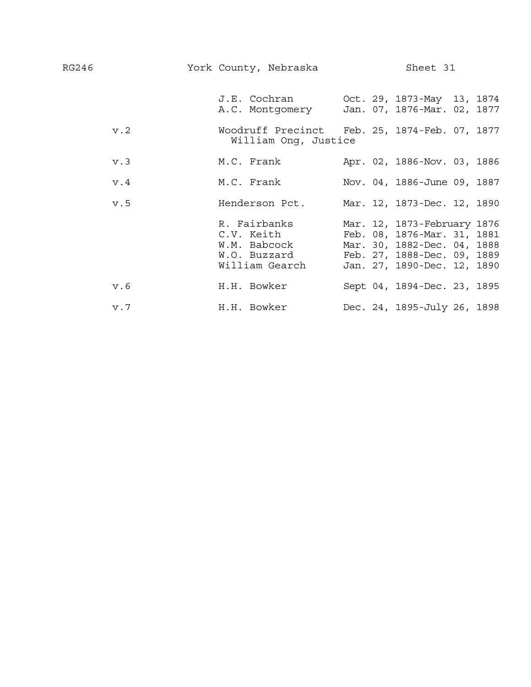| RG246 |     | York County, Nebraska                                                                  | Sheet 31                                                                                                                                                |  |  |  |  |  |
|-------|-----|----------------------------------------------------------------------------------------|---------------------------------------------------------------------------------------------------------------------------------------------------------|--|--|--|--|--|
|       |     | J.E. Cochran 0ct. 29, 1873-May 13, 1874<br>A.C. Montgomery Jan. 07, 1876-Mar. 02, 1877 |                                                                                                                                                         |  |  |  |  |  |
|       | v.2 | Woodruff Precinct Feb. 25, 1874-Feb. 07, 1877<br>William Ong, Justice                  |                                                                                                                                                         |  |  |  |  |  |
|       | v.3 | M.C. Frank                                                                             | Apr. 02, 1886-Nov. 03, 1886                                                                                                                             |  |  |  |  |  |
|       | v.4 | M.C. Frank                                                                             | Nov. 04, 1886-June 09, 1887                                                                                                                             |  |  |  |  |  |
|       | v.5 | Henderson Pct.                                                                         | Mar. 12, 1873-Dec. 12, 1890                                                                                                                             |  |  |  |  |  |
|       |     | R. Fairbanks<br>C.V. Keith<br>W.M. Babcock<br>W.O. Buzzard<br>William Gearch           | Mar. 12, 1873-February 1876<br>Feb. 08, 1876-Mar. 31, 1881<br>Mar. 30, 1882-Dec. 04, 1888<br>Feb. 27, 1888-Dec. 09, 1889<br>Jan. 27, 1890-Dec. 12, 1890 |  |  |  |  |  |
|       | v.6 | H.H. Bowker                                                                            | Sept 04, 1894-Dec. 23, 1895                                                                                                                             |  |  |  |  |  |
|       | v.7 | H.H. Bowker                                                                            | Dec. 24, 1895-July 26, 1898                                                                                                                             |  |  |  |  |  |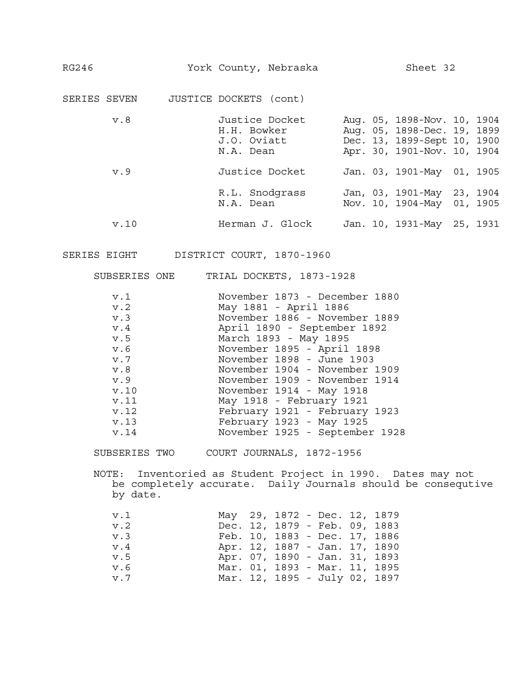| RG246        |      |                                                           | Sheet 32<br>York County, Nebraska |  |  |                                                                                                                          |  |  |
|--------------|------|-----------------------------------------------------------|-----------------------------------|--|--|--------------------------------------------------------------------------------------------------------------------------|--|--|
| SERIES SEVEN |      | JUSTICE DOCKETS (cont)                                    |                                   |  |  |                                                                                                                          |  |  |
|              | v.8  | Justice Docket<br>H.H. Bowker<br>J.O. Oviatt<br>N.A. Dean |                                   |  |  | Aug. 05, 1898-Nov. 10, 1904<br>Aug. 05, 1898-Dec. 19, 1899<br>Dec. 13, 1899-Sept 10, 1900<br>Apr. 30, 1901-Nov. 10, 1904 |  |  |
|              | v.9  | Justice Docket                                            |                                   |  |  | Jan. 03, 1901-May 01, 1905                                                                                               |  |  |
|              |      | R.L. Snodgrass<br>N.A. Dean                               |                                   |  |  | Jan, 03, 1901-May 23, 1904<br>Nov. 10, 1904-May 01, 1905                                                                 |  |  |
|              | v.10 | Herman J. Glock                                           |                                   |  |  | Jan. 10, 1931-May 25, 1931                                                                                               |  |  |

SUBSERIES ONE TRIAL DOCKETS, 1873-1928

| v.1  | November 1873 - December 1880  |
|------|--------------------------------|
| v.2  | May 1881 - April 1886          |
| v.3  | November 1886 - November 1889  |
| v.4  | April 1890 - September 1892    |
| v.5  | March 1893 - May 1895          |
| v.6  | November 1895 - April 1898     |
| v.7  | November 1898 - June 1903      |
| v.8  | November 1904 - November 1909  |
| v.9  | November 1909 - November 1914  |
| v.10 | November 1914 - May 1918       |
| v.11 | May 1918 - February 1921       |
| v.12 | February 1921 - February 1923  |
| v.13 | February 1923 - May 1925       |
| v.14 | November 1925 - September 1928 |

SUBSERIES TWO COURT JOURNALS, 1872-1956

NOTE: Inventoried as Student Project in 1990. Dates may not be completely accurate. Daily Journals should be consequtive by date.

| v.1                  |  | May 29, 1872 - Dec. 12, 1879  |  |  |
|----------------------|--|-------------------------------|--|--|
| v.2                  |  | Dec. 12, 1879 - Feb. 09, 1883 |  |  |
| v.3                  |  | Feb. 10, 1883 - Dec. 17, 1886 |  |  |
| $\,\mathrm{v}$ . $4$ |  | Apr. 12, 1887 - Jan. 17, 1890 |  |  |
| v.5                  |  | Apr. 07, 1890 - Jan. 31, 1893 |  |  |
| v.6                  |  | Mar. 01, 1893 - Mar. 11, 1895 |  |  |
| v.7                  |  | Mar. 12, 1895 - July 02, 1897 |  |  |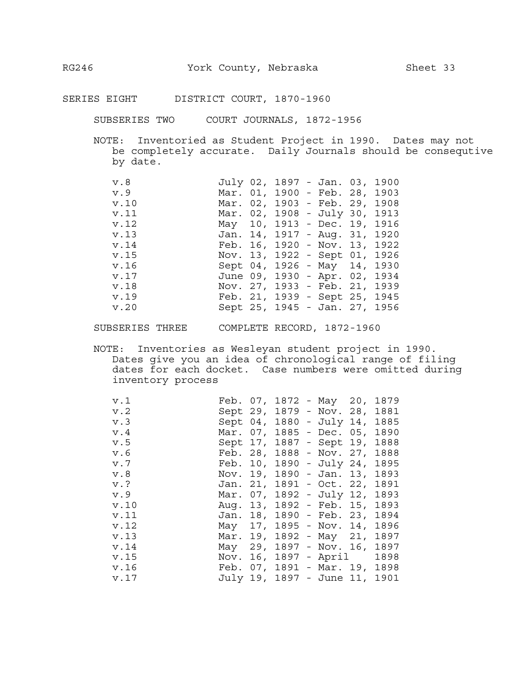SUBSERIES TWO COURT JOURNALS, 1872-1956

NOTE: Inventoried as Student Project in 1990. Dates may not be completely accurate. Daily Journals should be consequtive by date.

| v.8  |  | July 02, 1897 - Jan. 03, 1900 |  |  |
|------|--|-------------------------------|--|--|
| v.9  |  | Mar. 01, 1900 - Feb. 28, 1903 |  |  |
| v.10 |  | Mar. 02, 1903 - Feb. 29, 1908 |  |  |
| v.11 |  | Mar. 02, 1908 - July 30, 1913 |  |  |
| v.12 |  | May 10, 1913 - Dec. 19, 1916  |  |  |
| v.13 |  | Jan. 14, 1917 - Aug. 31, 1920 |  |  |
| v.14 |  | Feb. 16, 1920 - Nov. 13, 1922 |  |  |
| v.15 |  | Nov. 13, 1922 - Sept 01, 1926 |  |  |
| v.16 |  | Sept 04, 1926 - May 14, 1930  |  |  |
| v.17 |  | June 09, 1930 - Apr. 02, 1934 |  |  |
| v.18 |  | Nov. 27, 1933 - Feb. 21, 1939 |  |  |
| v.19 |  | Feb. 21, 1939 - Sept 25, 1945 |  |  |
| v.20 |  | Sept 25, 1945 - Jan. 27, 1956 |  |  |

SUBSERIES THREE COMPLETE RECORD, 1872-1960

NOTE: Inventories as Wesleyan student project in 1990. Dates give you an idea of chronological range of filing dates for each docket. Case numbers were omitted during inventory process

| v.1  |          |  | Feb. 07, 1872 - May 20,       | 1879 |  |
|------|----------|--|-------------------------------|------|--|
| v.2  |          |  | Sept 29, 1879 - Nov. 28,      | 1881 |  |
| v.3  |          |  | Sept 04, 1880 - July 14,      | 1885 |  |
| v.4  |          |  | Mar. 07, 1885 - Dec. 05,      | 1890 |  |
| v.5  |          |  | Sept 17, 1887 - Sept 19,      | 1888 |  |
| v.6  | Feb. 28, |  | $1888 - Nov. 27,$             | 1888 |  |
| v.7  | Feb. 10, |  | 1890 - July 24,               | 1895 |  |
| v.8  | Nov. 19, |  | 1890 - Jan. 13,               | 1893 |  |
| v.?  |          |  | Jan. 21, 1891 - Oct. 22,      | 1891 |  |
| v.9  |          |  | Mar. 07, 1892 - July 12,      | 1893 |  |
| v.10 |          |  | Aug. 13, 1892 - Feb. 15,      | 1893 |  |
| v.11 |          |  | Jan. 18, 1890 - Feb. 23,      | 1894 |  |
| v.12 |          |  | May 17, 1895 - Nov. 14,       | 1896 |  |
| v.13 | Mar. 19, |  | 1892 - May 21,                | 1897 |  |
| v.14 | May 29,  |  | 1897 - Nov. 16,               | 1897 |  |
| v.15 |          |  | Nov. 16, 1897 - April         | 1898 |  |
| v.16 |          |  | Feb. 07, 1891 - Mar. 19,      | 1898 |  |
| v.17 |          |  | July 19, 1897 - June 11, 1901 |      |  |
|      |          |  |                               |      |  |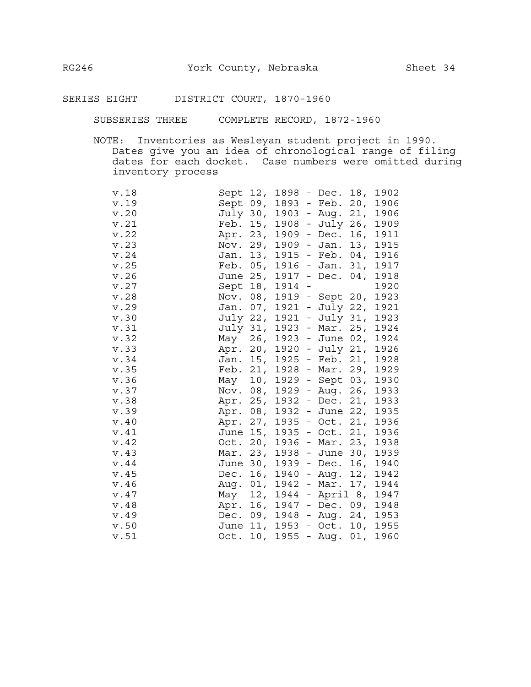SUBSERIES THREE COMPLETE RECORD, 1872-1960

NOTE: Inventories as Wesleyan student project in 1990. Dates give you an idea of chronological range of filing dates for each docket. Case numbers were omitted during inventory process

| v.18 | Sept 12, |                 | 1898   |                      | - Dec. 18,        |     | 1902          |
|------|----------|-----------------|--------|----------------------|-------------------|-----|---------------|
| v.19 | Sept 09, |                 | 1893   |                      | - Feb. 20,        |     | 1906          |
| v.20 | July 30, |                 | 1903   |                      | - Aug. 21,        |     | 1906          |
| v.21 | Feb.     | 15,             | 1908   |                      | - July 26,        |     | 1909          |
| v.22 | Apr.     | 23,             | 1909   |                      | - Dec. $16,$      |     | 1911          |
| v.23 | Nov.     | 29,             | 1909   | $\frac{1}{2}$        | Jan.              | 13, | 1915          |
| v.24 | Jan.     | 13,             | 1915   | $\equiv$             | Feb.              | 04, | 1916          |
| v.25 | Feb.     | 05,             | 1916   | $\frac{1}{2}$        | Jan. 31,          |     | 1917          |
| v.26 | June 25, |                 | 1917 - |                      | Dec. $04,$        |     | 1918          |
| v.27 | Sept     | 18,             | 1914   | $\frac{1}{\sqrt{2}}$ |                   |     | 1920          |
| v.28 | Nov.     | 08,             |        |                      | 1919 - Sept 20,   |     | 1923          |
| v.29 | Jan.     | 07 <sub>1</sub> | 1921   |                      | - July 22,        |     | 1921          |
| v.30 | July 22, |                 | 1921   |                      | - July 31,        |     | 1923          |
| v.31 | July 31, |                 |        |                      | 1923 - Mar. 25,   |     | 1924          |
| v.32 | May      | 26,             | 1923   |                      | - June 02,        |     | 1924          |
| v.33 | Apr.     | 20,             | 1920   | $\frac{1}{2}$        | July 21,          |     | 1926          |
| v.34 | Jan.     | 15,             | 1925   | $\equiv$             | Feb. 21,          |     | 1928          |
| v.35 | Feb.     | 21,             | 1928   | $\equiv$             | Mar. 29,          |     | 1929          |
| v.36 | May      | 10,             | 1929   |                      | - Sept 03,        |     | 1930          |
| v.37 | Nov. 08, |                 | 1929   | $\frac{1}{2}$        | Aug. 26,          |     | 1933          |
| v.38 | Apr. 25, |                 | 1932   |                      | - Dec. 21, 1933   |     |               |
| v.39 | Apr. 08, |                 | 1932   |                      | - June 22,        |     | 1935          |
| v.40 | Apr. 27, |                 |        |                      | $1935 - Oct. 21,$ |     | 1936          |
| v.41 | June 15, |                 |        |                      | $1935 - Oct. 21,$ |     | 1936          |
| v.42 | Oct.     | 20,             | 1936   |                      | - Mar. 23,        |     | 1938          |
| v.43 | Mar.     | 23,             | 1938   | $\pm$                | June 30,          |     | 1939          |
| v.44 | June     | 30 <sub>1</sub> | 1939   | $\pm$                | Dec.              | 16, | 1940          |
| v.45 | Dec.     | 16,             | 1940   | $\pm$                | Aug.              | 12, | 1942          |
| v.46 | Aug.     | 01,             | 1942   | $\equiv$             | Mar. 17,          |     | 1944          |
| v.47 | May      | 12,             | 1944   |                      | - April 8,        |     | 1947          |
| v.48 | Apr.     | 16,             | 1947   | $\equiv$             |                   |     | Dec. 09, 1948 |
| v.49 | Dec.     | 09,             | 1948   |                      | - Aug. 24,        |     | 1953          |
| v.50 | June 11, |                 | 1953   |                      | $-$ Oct. 10,      |     | 1955          |
| v.51 | Oct.     | 10,             | 1955   |                      | - Aug.            | 01, | 1960          |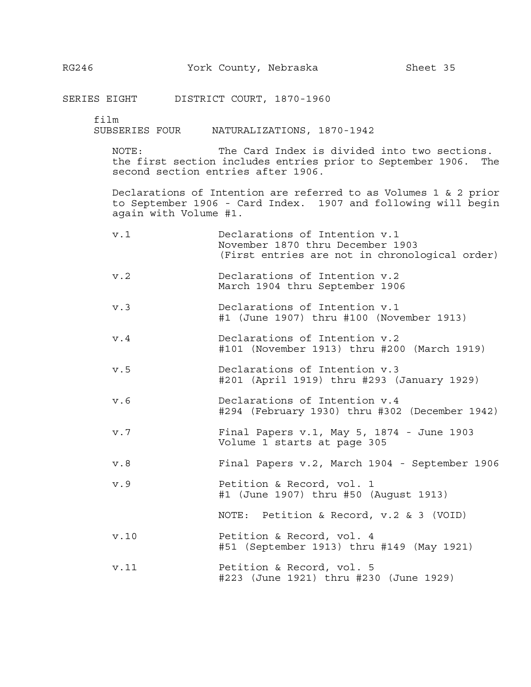film

SUBSERIES FOUR NATURALIZATIONS, 1870-1942

NOTE: The Card Index is divided into two sections. the first section includes entries prior to September 1906. The second section entries after 1906.

Declarations of Intention are referred to as Volumes 1 & 2 prior to September 1906 - Card Index. 1907 and following will begin again with Volume #1.

| v.1 | Declarations of Intention v.1                  |
|-----|------------------------------------------------|
|     | November 1870 thru December 1903               |
|     | (First entries are not in chronological order) |
|     |                                                |

- v.2 Declarations of Intention v.2 March 1904 thru September 1906
- v.3 Declarations of Intention v.1 #1 (June 1907) thru #100 (November 1913)
- v.4 Declarations of Intention v.2 #101 (November 1913) thru #200 (March 1919)
- v.5 Declarations of Intention v.3 #201 (April 1919) thru #293 (January 1929)
- v.6 Declarations of Intention v.4 #294 (February 1930) thru #302 (December 1942)
- v.7 Final Papers v.1, May 5, 1874 June 1903 Volume 1 starts at page 305
- v.8 Final Papers v.2, March 1904 September 1906
- v.9 Petition & Record, vol. 1 #1 (June 1907) thru #50 (August 1913)
	- NOTE: Petition & Record, v.2 & 3 (VOID)
- v.10 Petition & Record, vol. 4 #51 (September 1913) thru #149 (May 1921)
- v.11 Petition & Record, vol. 5 #223 (June 1921) thru #230 (June 1929)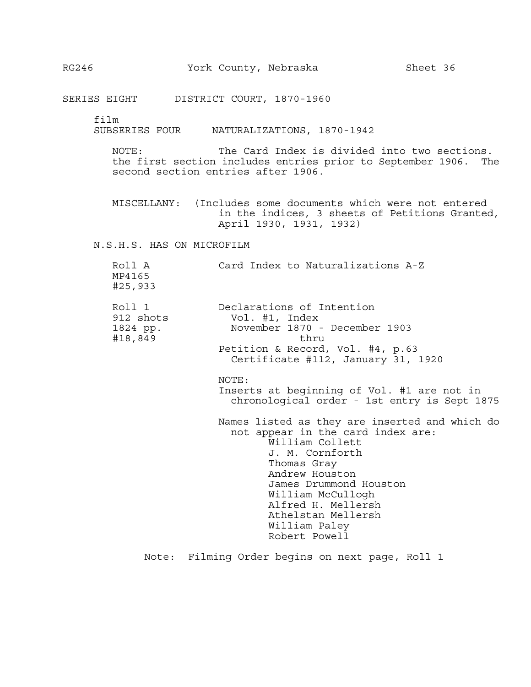film

SUBSERIES FOUR NATURALIZATIONS, 1870-1942

NOTE: The Card Index is divided into two sections. the first section includes entries prior to September 1906. The second section entries after 1906.

MISCELLANY: (Includes some documents which were not entered in the indices, 3 sheets of Petitions Granted, April 1930, 1931, 1932)

N.S.H.S. HAS ON MICROFILM

| Roll A<br>MP4165<br>#25,933                | Card Index to Naturalizations A-Z                                                                                                                                                                                                                                                                                                                                                                                                                                                                                                                                |
|--------------------------------------------|------------------------------------------------------------------------------------------------------------------------------------------------------------------------------------------------------------------------------------------------------------------------------------------------------------------------------------------------------------------------------------------------------------------------------------------------------------------------------------------------------------------------------------------------------------------|
| Roll 1<br>912 shots<br>1824 pp.<br>#18,849 | Declarations of Intention<br>Vol. #1, Index<br>November 1870 - December 1903<br>thru<br>Petition & Record, Vol. #4, p.63<br>Certificate #112, January 31, 1920<br>NOTE:<br>Inserts at beginning of Vol. #1 are not in<br>chronological order - 1st entry is Sept 1875<br>Names listed as they are inserted and which do<br>not appear in the card index are:<br>William Collett<br>J. M. Cornforth<br>Thomas Gray<br>Andrew Houston<br>James Drummond Houston<br>William McCullogh<br>Alfred H. Mellersh<br>Athelstan Mellersh<br>William Paley<br>Robert Powell |
|                                            |                                                                                                                                                                                                                                                                                                                                                                                                                                                                                                                                                                  |

Note: Filming Order begins on next page, Roll 1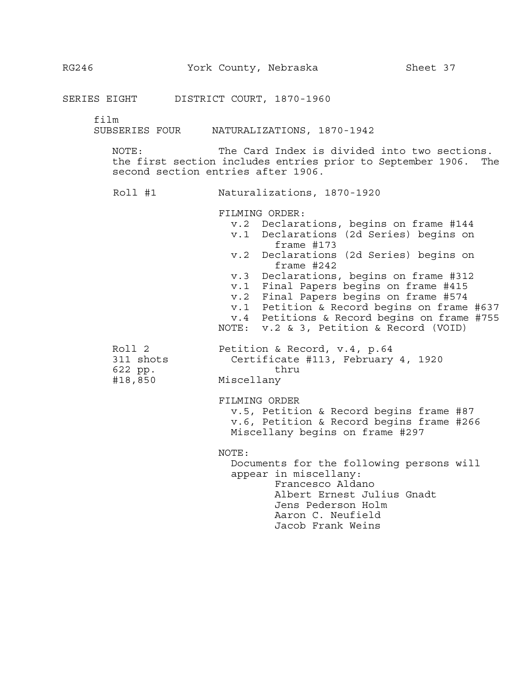film

SUBSERIES FOUR NATURALIZATIONS, 1870-1942

NOTE: The Card Index is divided into two sections. the first section includes entries prior to September 1906. The second section entries after 1906.

Roll #1 **Naturalizations, 1870-1920**<br>FILMING ORDER:

 v.2 Declarations, begins on frame #144 v.1 Declarations (2d Series) begins on frame #173 v.2 Declarations (2d Series) begins on frame #242 v.3 Declarations, begins on frame #312 v.1 Final Papers begins on frame #415 v.2 Final Papers begins on frame #574 v.1 Petition & Record begins on frame #637 v.4 Petitions & Record begins on frame #755 NOTE: v.2 & 3, Petition & Record (VOID) Roll 2 **Petition & Record, v.4, p.64** 311 shots Certificate #113, February 4, 1920 622 pp. thru #18,850 Miscellany FILMING ORDER v.5, Petition & Record begins frame #87 v.6, Petition & Record begins frame #266 Miscellany begins on frame #297 NOTE: Documents for the following persons will appear in miscellany: Francesco Aldano Albert Ernest Julius Gnadt Jens Pederson Holm Aaron C. Neufield Jacob Frank Weins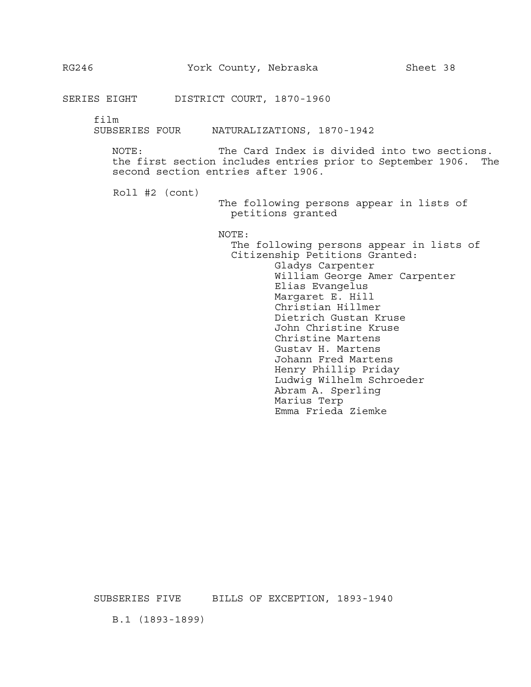film

SUBSERIES FOUR NATURALIZATIONS, 1870-1942

NOTE: The Card Index is divided into two sections. the first section includes entries prior to September 1906. The second section entries after 1906.

Roll #2 (cont)

The following persons appear in lists of petitions granted

NOTE:

The following persons appear in lists of Citizenship Petitions Granted: Gladys Carpenter William George Amer Carpenter Elias Evangelus Margaret E. Hill Christian Hillmer Dietrich Gustan Kruse John Christine Kruse Christine Martens Gustav H. Martens Johann Fred Martens Henry Phillip Priday Ludwig Wilhelm Schroeder Abram A. Sperling Marius Terp Emma Frieda Ziemke

SUBSERIES FIVE BILLS OF EXCEPTION, 1893-1940

B.1 (1893-1899)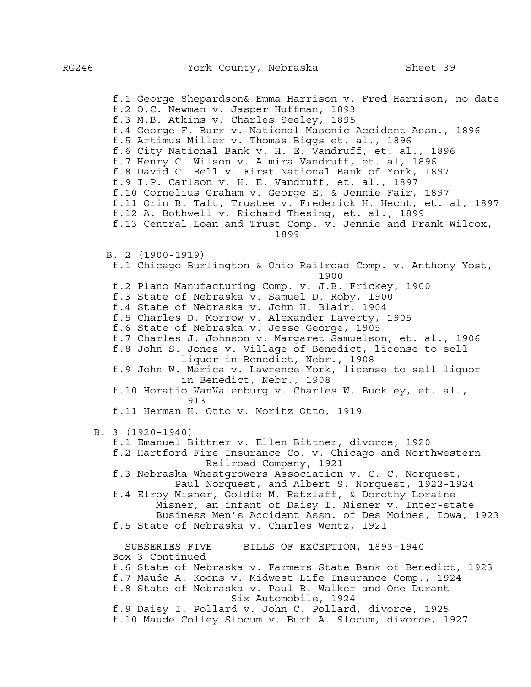f.1 George Shepardson& Emma Harrison v. Fred Harrison, no date f.2 O.C. Newman v. Jasper Huffman, 1893 f.3 M.B. Atkins v. Charles Seeley, 1895 f.4 George F. Burr v. National Masonic Accident Assn., 1896 f.5 Artimus Miller v. Thomas Biggs et. al., 1896 f.6 City National Bank v. H. E. Vandruff, et. al., 1896 f.7 Henry C. Wilson v. Almira Vandruff, et. al, 1896 f.8 David C. Bell v. First National Bank of York, 1897 f.9 I.P. Carlson v. H. E. Vandruff, et. al., 1897 f.10 Cornelius Graham v. George E. & Jennie Fair, 1897 f.11 Orin B. Taft, Trustee v. Frederick H. Hecht, et. al, 1897 f.12 A. Bothwell v. Richard Thesing, et. al., 1899 f.13 Central Loan and Trust Comp. v. Jennie and Frank Wilcox, 1899 B. 2 (1900-1919) f.1 Chicago Burlington & Ohio Railroad Comp. v. Anthony Yost, 1900 f.2 Plano Manufacturing Comp. v. J.B. Frickey, 1900 f.3 State of Nebraska v. Samuel D. Roby, 1900 f.4 State of Nebraska v. John H. Blair, 1904 f.5 Charles D. Morrow v. Alexander Laverty, 1905 f.6 State of Nebraska v. Jesse George, 1905 f.7 Charles J. Johnson v. Margaret Samuelson, et. al., 1906 f.8 John S. Jones v. Village of Benedict, license to sell liquor in Benedict, Nebr., 1908 f.9 John W. Marica v. Lawrence York, license to sell liquor in Benedict, Nebr., 1908 f.10 Horatio VanValenburg v. Charles W. Buckley, et. al., 1913 f.11 Herman H. Otto v. Moritz Otto, 1919 B. 3 (1920-1940) f.1 Emanuel Bittner v. Ellen Bittner, divorce, 1920 f.2 Hartford Fire Insurance Co. v. Chicago and Northwestern Railroad Company, 1921 f.3 Nebraska Wheatgrowers Association v. C. C. Norquest, Paul Norquest, and Albert S. Norquest, 1922-1924 f.4 Elroy Misner, Goldie M. Ratzlaff, & Dorothy Loraine Misner, an infant of Daisy I. Misner v. Inter-state Business Men's Accident Assn. of Des Moines, Iowa, 1923 f.5 State of Nebraska v. Charles Wentz, 1921 SUBSERIES FIVE BILLS OF EXCEPTION, 1893-1940 Box 3 Continued f.6 State of Nebraska v. Farmers State Bank of Benedict, 1923 f.7 Maude A. Koons v. Midwest Life Insurance Comp., 1924 f.8 State of Nebraska v. Paul B. Walker and One Durant Six Automobile, 1924 f.9 Daisy I. Pollard v. John C. Pollard, divorce, 1925 f.10 Maude Colley Slocum v. Burt A. Slocum, divorce, 1927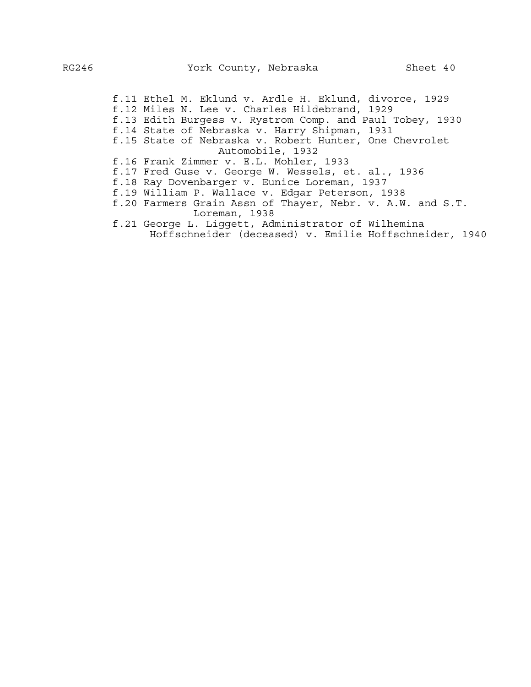f.11 Ethel M. Eklund v. Ardle H. Eklund, divorce, 1929 f.12 Miles N. Lee v. Charles Hildebrand, 1929 f.13 Edith Burgess v. Rystrom Comp. and Paul Tobey, 1930 f.14 State of Nebraska v. Harry Shipman, 1931 f.15 State of Nebraska v. Robert Hunter, One Chevrolet Automobile, 1932 f.16 Frank Zimmer v. E.L. Mohler, 1933 f.17 Fred Guse v. George W. Wessels, et. al., 1936 f.18 Ray Dovenbarger v. Eunice Loreman, 1937 f.19 William P. Wallace v. Edgar Peterson, 1938 f.20 Farmers Grain Assn of Thayer, Nebr. v. A.W. and S.T. Loreman, 1938

 f.21 George L. Liggett, Administrator of Wilhemina Hoffschneider (deceased) v. Emilie Hoffschneider, 1940